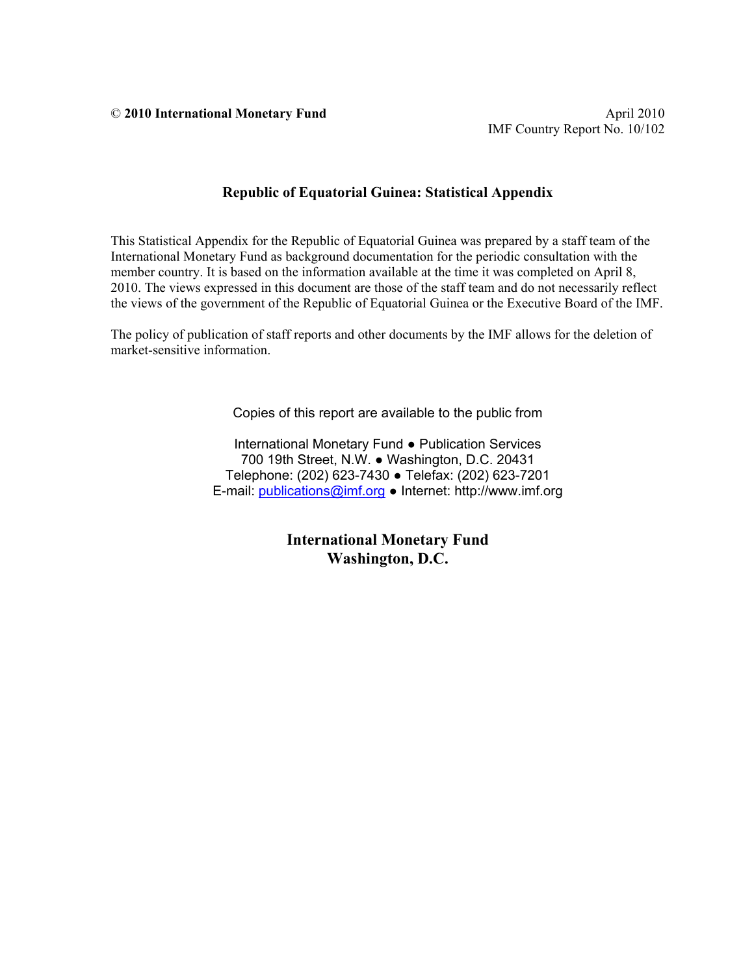© **2010 International Monetary Fund** April 2010

#### **Republic of Equatorial Guinea: Statistical Appendix**

This Statistical Appendix for the Republic of Equatorial Guinea was prepared by a staff team of the International Monetary Fund as background documentation for the periodic consultation with the member country. It is based on the information available at the time it was completed on April 8, 2010. The views expressed in this document are those of the staff team and do not necessarily reflect the views of the government of the Republic of Equatorial Guinea or the Executive Board of the IMF.

The policy of publication of staff reports and other documents by the IMF allows for the deletion of market-sensitive information.

Copies of this report are available to the public from

International Monetary Fund ● Publication Services 700 19th Street, N.W. ● Washington, D.C. 20431 Telephone: (202) 623-7430 ● Telefax: (202) 623-7201 E-mail: publications@imf.org ● Internet: http://www.imf.org

> **International Monetary Fund Washington, D.C.**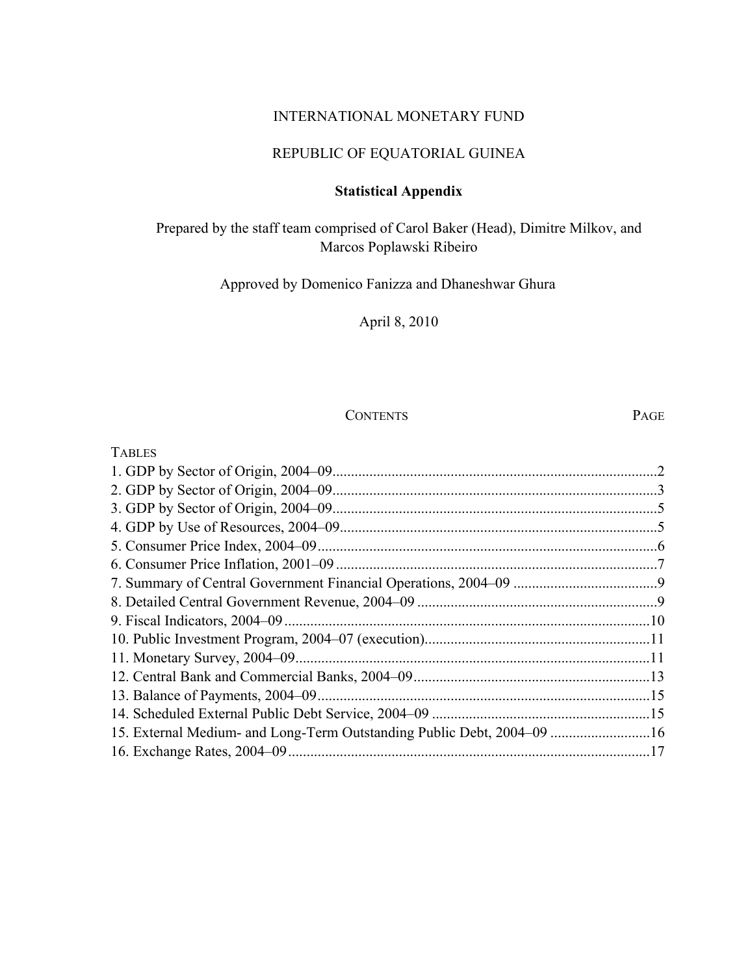#### INTERNATIONAL MONETARY FUND

## REPUBLIC OF EQUATORIAL GUINEA

### **Statistical Appendix**

## Prepared by the staff team comprised of Carol Baker (Head), Dimitre Milkov, and Marcos Poplawski Ribeiro

## Approved by Domenico Fanizza and Dhaneshwar Ghura

## April 8, 2010

### CONTENTS PAGE

| <b>TABLES</b>                                                          |               |
|------------------------------------------------------------------------|---------------|
|                                                                        | $\mathcal{L}$ |
|                                                                        |               |
|                                                                        |               |
|                                                                        |               |
|                                                                        |               |
|                                                                        |               |
|                                                                        |               |
|                                                                        |               |
|                                                                        |               |
|                                                                        |               |
|                                                                        |               |
|                                                                        |               |
|                                                                        |               |
|                                                                        |               |
| 15. External Medium- and Long-Term Outstanding Public Debt, 2004–09 16 |               |
|                                                                        |               |
|                                                                        |               |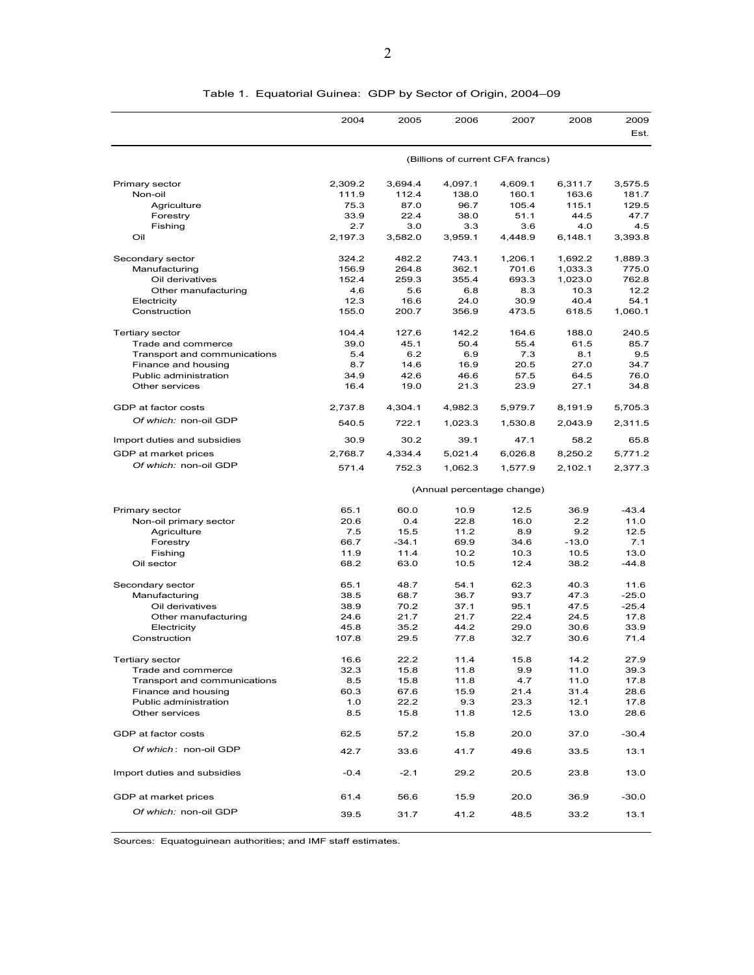|                              | 2004                             | 2005    | 2006    | 2007                       | 2008    | 2009<br>Est. |
|------------------------------|----------------------------------|---------|---------|----------------------------|---------|--------------|
|                              | (Billions of current CFA francs) |         |         |                            |         |              |
| Primary sector               | 2,309.2                          | 3,694.4 | 4,097.1 | 4,609.1                    | 6,311.7 | 3,575.5      |
| Non-oil                      | 111.9                            | 112.4   | 138.0   | 160.1                      | 163.6   | 181.7        |
| Agriculture                  | 75.3                             | 87.0    | 96.7    | 105.4                      | 115.1   | 129.5        |
| Forestry                     | 33.9                             | 22.4    | 38.0    | 51.1                       | 44.5    | 47.7         |
| Fishing                      | 2.7                              | 3.0     | 3.3     | 3.6                        | 4.0     | 4.5          |
| Oil                          | 2,197.3                          | 3,582.0 | 3,959.1 | 4,448.9                    | 6,148.1 | 3,393.8      |
| Secondary sector             | 324.2                            | 482.2   | 743.1   | 1,206.1                    | 1,692.2 | 1,889.3      |
| Manufacturing                | 156.9                            | 264.8   | 362.1   | 701.6                      | 1,033.3 | 775.0        |
| Oil derivatives              | 152.4                            | 259.3   | 355.4   | 693.3                      | 1,023.0 | 762.8        |
| Other manufacturing          | 4.6                              | 5.6     | 6.8     | 8.3                        | 10.3    | 12.2         |
| Electricity                  | 12.3                             | 16.6    | 24.0    | 30.9                       | 40.4    | 54.1         |
| Construction                 | 155.0                            | 200.7   | 356.9   | 473.5                      | 618.5   | 1,060.1      |
| <b>Tertiary sector</b>       | 104.4                            | 127.6   | 142.2   | 164.6                      | 188.0   | 240.5        |
| Trade and commerce           | 39.0                             | 45.1    | 50.4    | 55.4                       | 61.5    | 85.7         |
| Transport and communications | 5.4                              | 6.2     | 6.9     | 7.3                        | 8.1     | 9.5          |
| Finance and housing          | 8.7                              | 14.6    | 16.9    | 20.5                       | 27.0    | 34.7         |
| Public administration        | 34.9                             | 42.6    | 46.6    | 57.5                       | 64.5    | 76.0         |
| Other services               | 16.4                             | 19.0    | 21.3    | 23.9                       | 27.1    | 34.8         |
| GDP at factor costs          | 2,737.8                          | 4,304.1 | 4,982.3 | 5,979.7                    | 8,191.9 | 5,705.3      |
| Of which: non-oil GDP        | 540.5                            | 722.1   | 1,023.3 | 1,530.8                    | 2,043.9 | 2,311.5      |
| Import duties and subsidies  | 30.9                             | 30.2    | 39.1    | 47.1                       | 58.2    | 65.8         |
| GDP at market prices         | 2,768.7                          | 4,334.4 | 5,021.4 | 6,026.8                    | 8,250.2 | 5,771.2      |
| Of which: non-oil GDP        | 571.4                            | 752.3   | 1,062.3 | 1,577.9                    | 2,102.1 | 2,377.3      |
|                              |                                  |         |         | (Annual percentage change) |         |              |
| Primary sector               | 65.1                             | 60.0    | 10.9    | 12.5                       | 36.9    | $-43.4$      |
| Non-oil primary sector       | 20.6                             | 0.4     | 22.8    | 16.0                       | 2.2     | 11.0         |
| Agriculture                  | 7.5                              | 15.5    | 11.2    | 8.9                        | 9.2     | 12.5         |
| Forestry                     | 66.7                             | $-34.1$ | 69.9    | 34.6                       | $-13.0$ | 7.1          |
| Fishing                      | 11.9                             | 11.4    | 10.2    | 10.3                       | 10.5    | 13.0         |
| Oil sector                   | 68.2                             | 63.0    | 10.5    | 12.4                       | 38.2    | $-44.8$      |
| Secondary sector             | 65.1                             | 48.7    | 54.1    | 62.3                       | 40.3    | 11.6         |
| Manufacturing                | 38.5                             | 68.7    | 36.7    | 93.7                       | 47.3    | $-25.0$      |
| Oil derivatives              | 38.9                             | 70.2    | 37.1    | 95.1                       | 47.5    | $-25.4$      |
| Other manufacturing          | 24.6                             | 21.7    | 21.7    | 22.4                       | 24.5    | 17.8         |
| Electricity                  | 45.8                             | 35.2    | 44.2    | 29.0                       | 30.6    | 33.9         |
| Construction                 | 107.8                            | 29.5    | 77.8    | 32.7                       | 30.6    | 71.4         |
| Tertiary sector              | 16.6                             | 22.2    | 11.4    | 15.8                       | 14.2    | 27.9         |
| Trade and commerce           | 32.3                             | 15.8    | 11.8    | 9.9                        | 11.0    | 39.3         |
| Transport and communications | 8.5                              | 15.8    | 11.8    | 4.7                        | 11.0    | 17.8         |
| Finance and housing          | 60.3                             | 67.6    | 15.9    | 21.4                       | 31.4    | 28.6         |
| Public administration        | 1.0                              | 22.2    | 9.3     | 23.3                       | 12.1    | 17.8         |
| Other services               | 8.5                              | 15.8    | 11.8    | 12.5                       | 13.0    | 28.6         |
| GDP at factor costs          | 62.5                             | 57.2    | 15.8    | 20.0                       | 37.0    | $-30.4$      |
| Of which: non-oil GDP        | 42.7                             | 33.6    | 41.7    | 49.6                       | 33.5    | 13.1         |
| Import duties and subsidies  | $-0.4$                           | $-2.1$  | 29.2    | 20.5                       | 23.8    | 13.0         |
|                              |                                  |         |         |                            |         |              |
| GDP at market prices         | 61.4                             | 56.6    | 15.9    | 20.0                       | 36.9    | $-30.0$      |
| Of which: non-oil GDP        | 39.5                             | 31.7    | 41.2    | 48.5                       | 33.2    | 13.1         |

#### Table 1. Equatorial Guinea: GDP by Sector of Origin, 2004–09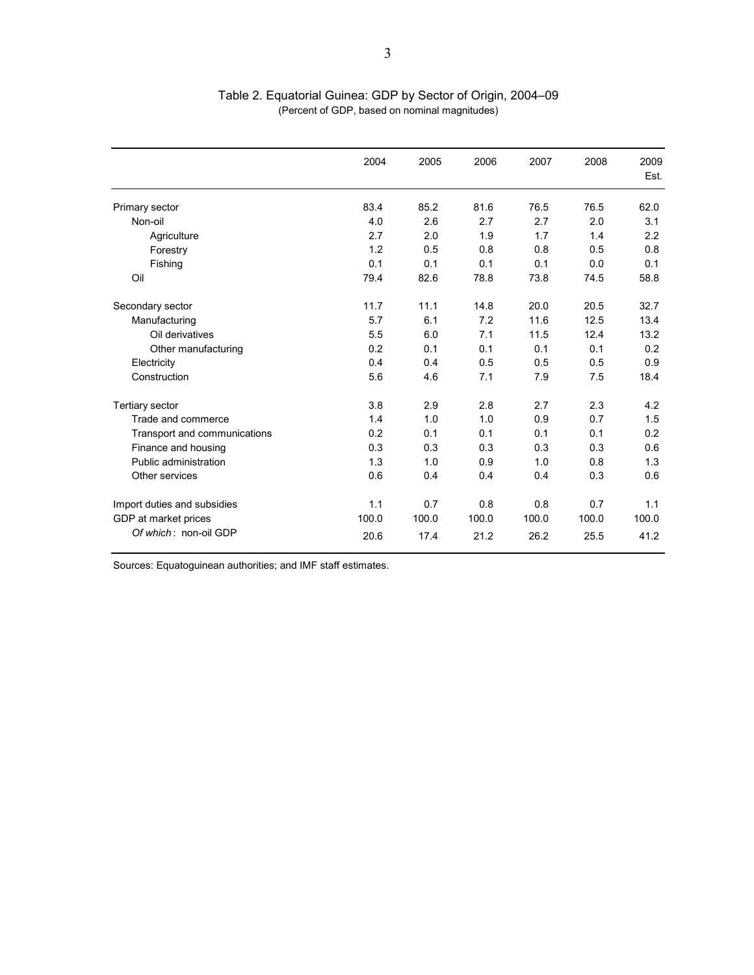|                              | 2004  | 2005  | 2006  | 2007  | 2008  | 2009<br>Est. |
|------------------------------|-------|-------|-------|-------|-------|--------------|
| Primary sector               | 83.4  | 85.2  | 81.6  | 76.5  | 76.5  | 62.0         |
| Non-oil                      | 4.0   | 2.6   | 2.7   | 2.7   | 2.0   | 3.1          |
| Agriculture                  | 2.7   | 2.0   | 1.9   | 1.7   | 1.4   | 2.2          |
| Forestry                     | 1.2   | 0.5   | 0.8   | 0.8   | 0.5   | 0.8          |
| Fishing                      | 0.1   | 0.1   | 0.1   | 0.1   | 0.0   | 0.1          |
| Oil                          | 79.4  | 82.6  | 78.8  | 73.8  | 74.5  | 58.8         |
| Secondary sector             | 11.7  | 11.1  | 14.8  | 20.0  | 20.5  | 32.7         |
| Manufacturing                | 5.7   | 6.1   | 7.2   | 11.6  | 12.5  | 13.4         |
| Oil derivatives              | 5.5   | 6.0   | 7.1   | 11.5  | 12.4  | 13.2         |
| Other manufacturing          | 0.2   | 0.1   | 0.1   | 0.1   | 0.1   | 0.2          |
| Electricity                  | 0.4   | 0.4   | 0.5   | 0.5   | 0.5   | 0.9          |
| Construction                 | 5.6   | 4.6   | 7.1   | 7.9   | 7.5   | 18.4         |
| <b>Tertiary sector</b>       | 3.8   | 2.9   | 2.8   | 2.7   | 2.3   | 4.2          |
| Trade and commerce           | 1.4   | 1.0   | 1.0   | 0.9   | 0.7   | 1.5          |
| Transport and communications | 0.2   | 0.1   | 0.1   | 0.1   | 0.1   | 0.2          |
| Finance and housing          | 0.3   | 0.3   | 0.3   | 0.3   | 0.3   | 0.6          |
| Public administration        | 1.3   | 1.0   | 0.9   | 1.0   | 0.8   | 1.3          |
| Other services               | 0.6   | 0.4   | 0.4   | 0.4   | 0.3   | 0.6          |
| Import duties and subsidies  | 1.1   | 0.7   | 0.8   | 0.8   | 0.7   | 1.1          |
| GDP at market prices         | 100.0 | 100.0 | 100.0 | 100.0 | 100.0 | 100.0        |
| Of which: non-oil GDP        | 20.6  | 17.4  | 21.2  | 26.2  | 25.5  | 41.2         |

Table 2. Equatorial Guinea: GDP by Sector of Origin, 2004–09 (Percent of GDP, based on nominal magnitudes)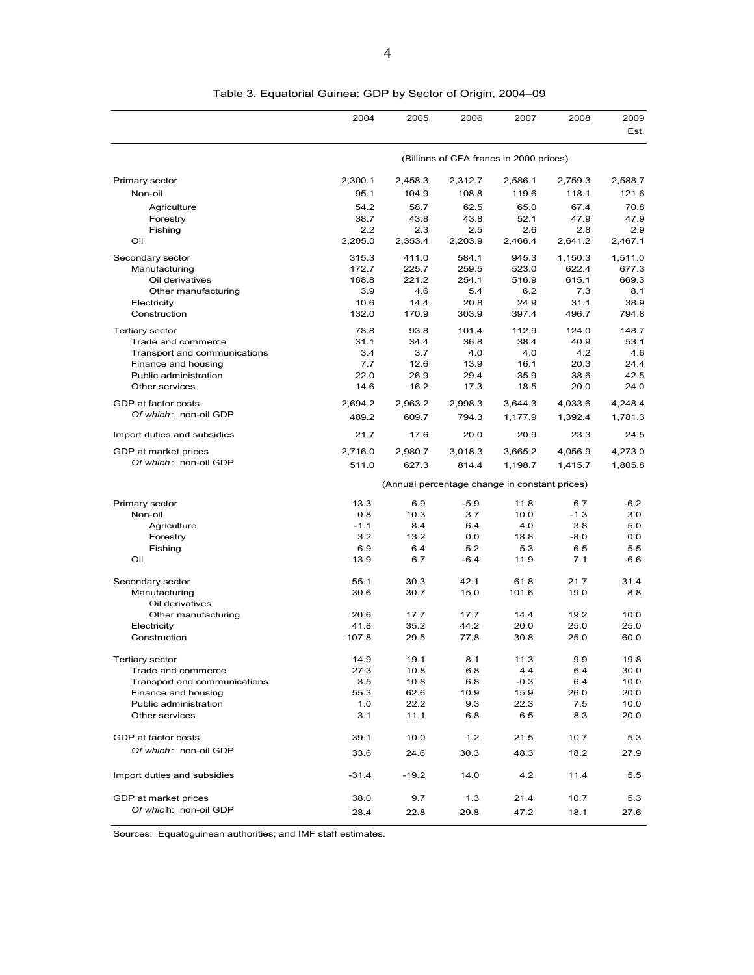|                              | 2004        | 2005                                          | 2006           | 2007           | 2008           | 2009<br>Est.   |  |  |
|------------------------------|-------------|-----------------------------------------------|----------------|----------------|----------------|----------------|--|--|
|                              |             | (Billions of CFA francs in 2000 prices)       |                |                |                |                |  |  |
|                              |             |                                               |                |                |                |                |  |  |
| Primary sector               | 2,300.1     | 2,458.3                                       | 2,312.7        | 2,586.1        | 2,759.3        | 2,588.7        |  |  |
| Non-oil                      | 95.1        | 104.9                                         | 108.8          | 119.6          | 118.1          | 121.6          |  |  |
| Agriculture                  | 54.2        | 58.7                                          | 62.5           | 65.0           | 67.4           | 70.8           |  |  |
| Forestry                     | 38.7<br>2.2 | 43.8                                          | 43.8           | 52.1           | 47.9           | 47.9           |  |  |
| Fishing<br>Oil               | 2,205.0     | 2.3<br>2,353.4                                | 2.5<br>2,203.9 | 2.6<br>2,466.4 | 2.8<br>2.641.2 | 2.9<br>2,467.1 |  |  |
|                              |             |                                               |                |                |                |                |  |  |
| Secondary sector             | 315.3       | 411.0                                         | 584.1          | 945.3          | 1,150.3        | 1,511.0        |  |  |
| Manufacturing                | 172.7       | 225.7                                         | 259.5          | 523.0          | 622.4          | 677.3          |  |  |
| Oil derivatives              | 168.8       | 221.2                                         | 254.1          | 516.9          | 615.1          | 669.3          |  |  |
| Other manufacturing          | 3.9         | 4.6                                           | 5.4            | 6.2            | 7.3            | 8.1            |  |  |
| Electricity                  | 10.6        | 14.4                                          | 20.8           | 24.9           | 31.1           | 38.9           |  |  |
| Construction                 | 132.0       | 170.9                                         | 303.9          | 397.4          | 496.7          | 794.8          |  |  |
| <b>Tertiary sector</b>       | 78.8        | 93.8                                          | 101.4          | 112.9          | 124.0          | 148.7          |  |  |
| Trade and commerce           | 31.1        | 34.4                                          | 36.8           | 38.4           | 40.9           | 53.1           |  |  |
| Transport and communications | 3.4         | 3.7                                           | 4.0            | 4.0            | 4.2            | 4.6            |  |  |
| Finance and housing          | 7.7         | 12.6                                          | 13.9           | 16.1           | 20.3           | 24.4           |  |  |
| Public administration        | 22.0        | 26.9                                          | 29.4           | 35.9           | 38.6           | 42.5           |  |  |
| Other services               | 14.6        | 16.2                                          | 17.3           | 18.5           | 20.0           | 24.0           |  |  |
| GDP at factor costs          | 2,694.2     | 2,963.2                                       | 2,998.3        | 3,644.3        | 4,033.6        | 4,248.4        |  |  |
| Of which: non-oil GDP        | 489.2       | 609.7                                         | 794.3          | 1,177.9        | 1,392.4        | 1,781.3        |  |  |
| Import duties and subsidies  | 21.7        | 17.6                                          | 20.0           | 20.9           | 23.3           | 24.5           |  |  |
| GDP at market prices         | 2,716.0     | 2,980.7                                       | 3,018.3        | 3.665.2        | 4.056.9        | 4,273.0        |  |  |
| Of which: non-oil GDP        | 511.0       | 627.3                                         | 814.4          | 1,198.7        | 1,415.7        | 1,805.8        |  |  |
|                              |             | (Annual percentage change in constant prices) |                |                |                |                |  |  |
| Primary sector               | 13.3        | 6.9                                           | $-5.9$         | 11.8           | 6.7            | $-6.2$         |  |  |
| Non-oil                      | 0.8         | 10.3                                          | 3.7            | 10.0           | $-1.3$         | 3.0            |  |  |
| Agriculture                  | $-1.1$      | 8.4                                           | 6.4            | 4.0            | 3.8            | 5.0            |  |  |
| Forestry                     | 3.2         | 13.2                                          | 0.0            | 18.8           | $-8.0$         | 0.0            |  |  |
| Fishing                      | 6.9         | 6.4                                           | 5.2            | 5.3            | 6.5            | 5.5            |  |  |
| Oil                          | 13.9        | 6.7                                           | $-6.4$         | 11.9           | 7.1            | -6.6           |  |  |
| Secondary sector             | 55.1        | 30.3                                          | 42.1           | 61.8           | 21.7           | 31.4           |  |  |
| Manufacturing                | 30.6        | 30.7                                          | 15.0           | 101.6          | 19.0           | 8.8            |  |  |
| Oil derivatives              |             |                                               |                |                |                |                |  |  |
| Other manufacturing          | 20.6        | 17.7                                          | 17.7           | 14.4           | 19.2           | 10.0           |  |  |
| Electricity                  | 41.8        | 35.2                                          | 44.2           | 20.0           | 25.0           | 25.0           |  |  |
| Construction                 | 107.8       | 29.5                                          | 77.8           | 30.8           | 25.0           | 60.0           |  |  |
| I ertiary sector             | 14.9        | 19.1                                          | 8.1            | 11.3           | 9.9            | 19.8           |  |  |
| Trade and commerce           | 27.3        | 10.8                                          | 6.8            | 4.4            | 6.4            | 30.0           |  |  |
| Transport and communications | 3.5         | 10.8                                          | 6.8            | $-0.3$         | 6.4            | 10.0           |  |  |
| Finance and housing          | 55.3        | 62.6                                          | 10.9           | 15.9           | 26.0           | 20.0           |  |  |
| Public administration        | 1.0         | 22.2                                          | 9.3            | 22.3           | 7.5            | 10.0           |  |  |
| Other services               | 3.1         | 11.1                                          | 6.8            | 6.5            | 8.3            | 20.0           |  |  |
| GDP at factor costs          | 39.1        | 10.0                                          | 1.2            | 21.5           | 10.7           | 5.3            |  |  |
| Of which: non-oil GDP        | 33.6        | 24.6                                          | 30.3           | 48.3           | 18.2           | 27.9           |  |  |
| Import duties and subsidies  | $-31.4$     | $-19.2$                                       | 14.0           | 4.2            | 11.4           | 5.5            |  |  |
| GDP at market prices         | 38.0        | 9.7                                           | 1.3            | 21.4           | 10.7           | 5.3            |  |  |
| Of which: non-oil GDP        | 28.4        | 22.8                                          | 29.8           | 47.2           | 18.1           | 27.6           |  |  |
|                              |             |                                               |                |                |                |                |  |  |

| Table 3. Equatorial Guinea: GDP by Sector of Origin, 2004–09 |
|--------------------------------------------------------------|
|                                                              |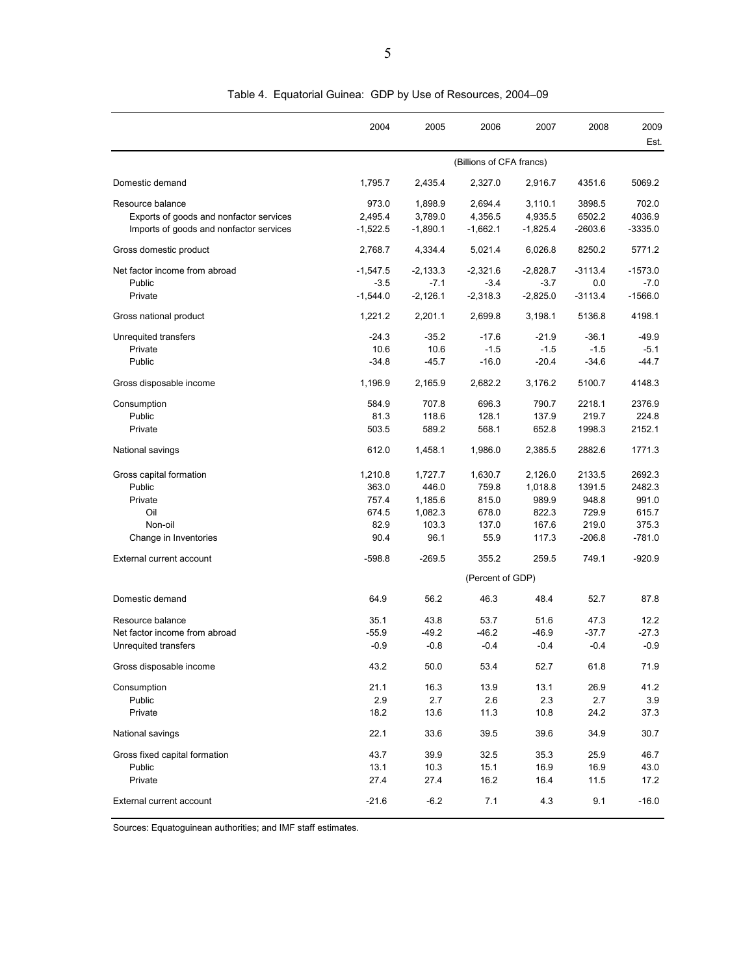|                                                                                                        | 2004                                               | 2005                                                    | 2006                                                | 2007                                                   | 2008                                                    | 2009<br>Est.                                            |
|--------------------------------------------------------------------------------------------------------|----------------------------------------------------|---------------------------------------------------------|-----------------------------------------------------|--------------------------------------------------------|---------------------------------------------------------|---------------------------------------------------------|
|                                                                                                        |                                                    | (Billions of CFA francs)                                |                                                     |                                                        |                                                         |                                                         |
| Domestic demand                                                                                        | 1,795.7                                            | 2,435.4                                                 | 2,327.0                                             | 2,916.7                                                | 4351.6                                                  | 5069.2                                                  |
| Resource balance<br>Exports of goods and nonfactor services<br>Imports of goods and nonfactor services | 973.0<br>2,495.4<br>$-1,522.5$                     | 1,898.9<br>3,789.0<br>$-1,890.1$                        | 2,694.4<br>4,356.5<br>$-1,662.1$                    | 3,110.1<br>4,935.5<br>$-1,825.4$                       | 3898.5<br>6502.2<br>$-2603.6$                           | 702.0<br>4036.9<br>$-3335.0$                            |
| Gross domestic product                                                                                 | 2.768.7                                            | 4,334.4                                                 | 5,021.4                                             | 6.026.8                                                | 8250.2                                                  | 5771.2                                                  |
| Net factor income from abroad<br>Public<br>Private                                                     | $-1,547.5$<br>$-3.5$<br>$-1,544.0$                 | $-2,133.3$<br>$-7.1$<br>$-2,126.1$                      | $-2,321.6$<br>$-3.4$<br>$-2,318.3$                  | $-2,828.7$<br>$-3.7$<br>$-2,825.0$                     | $-3113.4$<br>0.0<br>$-3113.4$                           | $-1573.0$<br>$-7.0$<br>$-1566.0$                        |
| Gross national product                                                                                 | 1,221.2                                            | 2,201.1                                                 | 2,699.8                                             | 3,198.1                                                | 5136.8                                                  | 4198.1                                                  |
| Unrequited transfers<br>Private<br>Public                                                              | $-24.3$<br>10.6<br>$-34.8$                         | $-35.2$<br>10.6<br>$-45.7$                              | $-17.6$<br>$-1.5$<br>$-16.0$                        | $-21.9$<br>$-1.5$<br>$-20.4$                           | $-36.1$<br>$-1.5$<br>$-34.6$                            | $-49.9$<br>$-5.1$<br>$-44.7$                            |
| Gross disposable income                                                                                | 1,196.9                                            | 2,165.9                                                 | 2,682.2                                             | 3,176.2                                                | 5100.7                                                  | 4148.3                                                  |
| Consumption<br>Public<br>Private                                                                       | 584.9<br>81.3<br>503.5                             | 707.8<br>118.6<br>589.2                                 | 696.3<br>128.1<br>568.1                             | 790.7<br>137.9<br>652.8                                | 2218.1<br>219.7<br>1998.3                               | 2376.9<br>224.8<br>2152.1                               |
| National savings                                                                                       | 612.0                                              | 1,458.1                                                 | 1,986.0                                             | 2,385.5                                                | 2882.6                                                  | 1771.3                                                  |
| Gross capital formation<br>Public<br>Private<br>Oil<br>Non-oil<br>Change in Inventories                | 1,210.8<br>363.0<br>757.4<br>674.5<br>82.9<br>90.4 | 1,727.7<br>446.0<br>1,185.6<br>1,082.3<br>103.3<br>96.1 | 1,630.7<br>759.8<br>815.0<br>678.0<br>137.0<br>55.9 | 2,126.0<br>1,018.8<br>989.9<br>822.3<br>167.6<br>117.3 | 2133.5<br>1391.5<br>948.8<br>729.9<br>219.0<br>$-206.8$ | 2692.3<br>2482.3<br>991.0<br>615.7<br>375.3<br>$-781.0$ |
| External current account                                                                               | $-598.8$                                           | $-269.5$                                                | 355.2                                               | 259.5                                                  | 749.1                                                   | $-920.9$                                                |
|                                                                                                        |                                                    |                                                         | (Percent of GDP)                                    |                                                        |                                                         |                                                         |
| Domestic demand                                                                                        | 64.9                                               | 56.2                                                    | 46.3                                                | 48.4                                                   | 52.7                                                    | 87.8                                                    |
| Resource balance<br>Net factor income from abroad<br>Unrequited transfers                              | 35.1<br>$-55.9$<br>$-0.9$                          | 43.8<br>$-49.2$<br>$-0.8$                               | 53.7<br>$-46.2$<br>$-0.4$                           | 51.6<br>$-46.9$<br>$-0.4$                              | 47.3<br>$-37.7$<br>$-0.4$                               | 12.2<br>$-27.3$<br>$-0.9$                               |
| Gross disposable income                                                                                | 43.2                                               | 50.0                                                    | 53.4                                                | 52.7                                                   | 61.8                                                    | 71.9                                                    |
| Consumption<br>Public<br>Private                                                                       | 21.1<br>2.9<br>18.2                                | 16.3<br>2.7<br>13.6                                     | 13.9<br>2.6<br>11.3                                 | 13.1<br>2.3<br>10.8                                    | 26.9<br>2.7<br>24.2                                     | 41.2<br>3.9<br>37.3                                     |
| National savings                                                                                       | 22.1                                               | 33.6                                                    | 39.5                                                | 39.6                                                   | 34.9                                                    | 30.7                                                    |
| Gross fixed capital formation<br>Public<br>Private                                                     | 43.7<br>13.1<br>27.4                               | 39.9<br>10.3<br>27.4                                    | 32.5<br>15.1<br>16.2                                | 35.3<br>16.9<br>16.4                                   | 25.9<br>16.9<br>11.5                                    | 46.7<br>43.0<br>17.2                                    |
| External current account                                                                               | $-21.6$                                            | $-6.2$                                                  | 7.1                                                 | 4.3                                                    | 9.1                                                     | $-16.0$                                                 |

Table 4. Equatorial Guinea: GDP by Use of Resources, 2004–09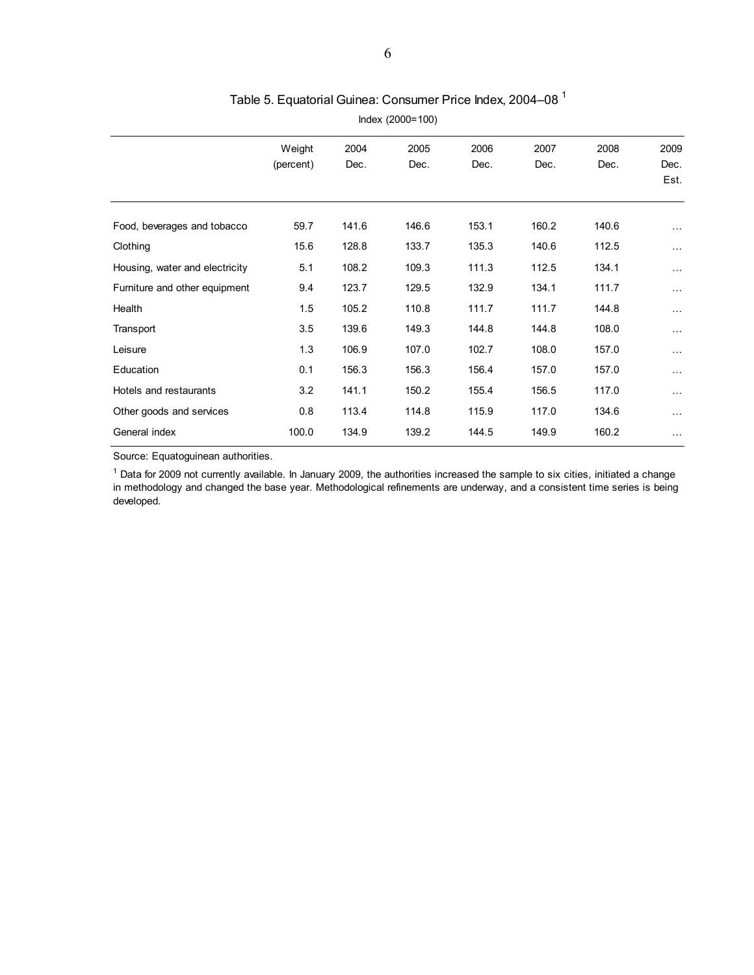| Weight    | 2004  | 2005  | 2006  | 2007  | 2008  | 2009     |
|-----------|-------|-------|-------|-------|-------|----------|
| (percent) | Dec.  | Dec.  | Dec.  | Dec.  | Dec.  | Dec.     |
|           |       |       |       |       |       | Est.     |
|           |       |       |       |       |       |          |
| 59.7      | 141.6 | 146.6 | 153.1 | 160.2 | 140.6 | $\sim$ . |
| 15.6      | 128.8 | 133.7 | 135.3 | 140.6 | 112.5 | $\cdots$ |
| 5.1       | 108.2 | 109.3 | 111.3 | 112.5 | 134.1 | $\cdots$ |
| 9.4       | 123.7 | 129.5 | 132.9 | 134.1 | 111.7 | $\cdots$ |
| 1.5       | 105.2 | 110.8 | 111.7 | 111.7 | 144.8 | $\cdots$ |
| 3.5       | 139.6 | 149.3 | 144.8 | 144.8 | 108.0 | $\cdots$ |
| 1.3       | 106.9 | 107.0 | 102.7 | 108.0 | 157.0 | $\ldots$ |
| 0.1       | 156.3 | 156.3 | 156.4 | 157.0 | 157.0 | $\cdots$ |
| 3.2       | 141.1 | 150.2 | 155.4 | 156.5 | 117.0 | $\cdots$ |
| 0.8       | 113.4 | 114.8 | 115.9 | 117.0 | 134.6 | $\cdots$ |
| 100.0     | 134.9 | 139.2 | 144.5 | 149.9 | 160.2 | $\cdots$ |
|           |       |       |       |       |       |          |

## Table 5. Equatorial Guinea: Consumer Price Index, 2004-08<sup>1</sup>

Index (2000=100)

Source: Equatoguinean authorities.

<sup>1</sup> Data for 2009 not currently available. In January 2009, the authorities increased the sample to six cities, initiated a change in methodology and changed the base year. Methodological refinements are underway, and a consistent time series is being developed.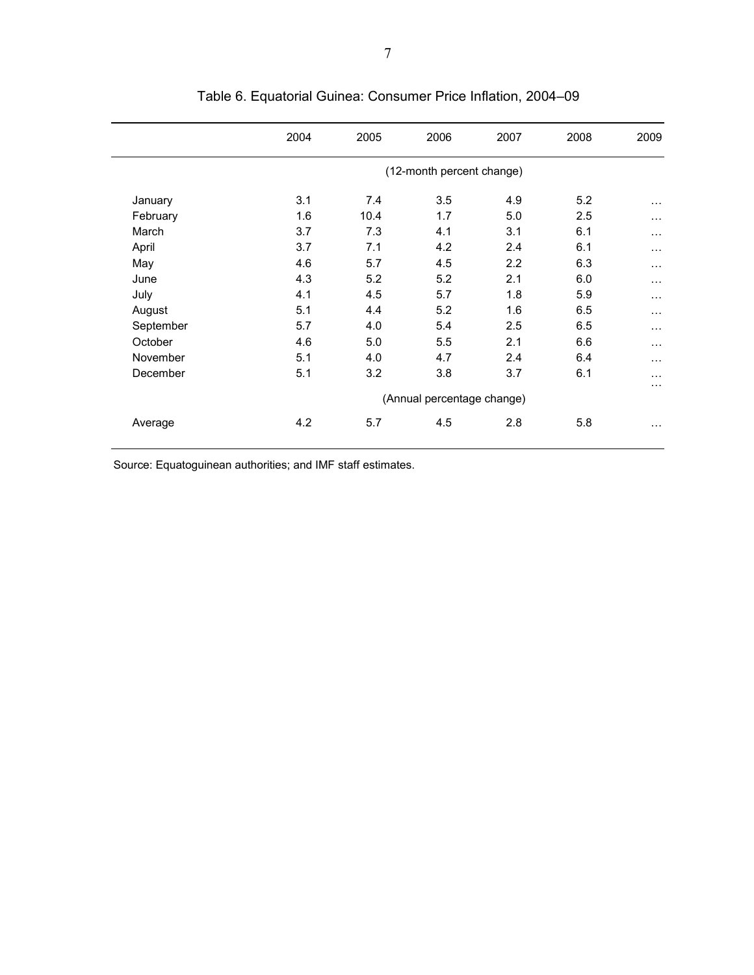|           | 2004 | 2005 | 2006                       | 2007 | 2008 | 2009     |
|-----------|------|------|----------------------------|------|------|----------|
|           |      |      | (12-month percent change)  |      |      |          |
| January   | 3.1  | 7.4  | 3.5                        | 4.9  | 5.2  | $\cdots$ |
| February  | 1.6  | 10.4 | 1.7                        | 5.0  | 2.5  | $\cdots$ |
| March     | 3.7  | 7.3  | 4.1                        | 3.1  | 6.1  | $\cdots$ |
| April     | 3.7  | 7.1  | 4.2                        | 2.4  | 6.1  | $\cdots$ |
| May       | 4.6  | 5.7  | 4.5                        | 2.2  | 6.3  | $\cdots$ |
| June      | 4.3  | 5.2  | 5.2                        | 2.1  | 6.0  | $\cdots$ |
| July      | 4.1  | 4.5  | 5.7                        | 1.8  | 5.9  | $\cdots$ |
| August    | 5.1  | 4.4  | 5.2                        | 1.6  | 6.5  | $\cdots$ |
| September | 5.7  | 4.0  | 5.4                        | 2.5  | 6.5  | $\cdots$ |
| October   | 4.6  | 5.0  | 5.5                        | 2.1  | 6.6  | $\cdots$ |
| November  | 5.1  | 4.0  | 4.7                        | 2.4  | 6.4  | $\cdots$ |
| December  | 5.1  | 3.2  | 3.8                        | 3.7  | 6.1  | .        |
|           |      |      | (Annual percentage change) |      |      | $\cdots$ |
| Average   | 4.2  | 5.7  | 4.5                        | 2.8  | 5.8  | $\cdots$ |

# Table 6. Equatorial Guinea: Consumer Price Inflation, 2004–09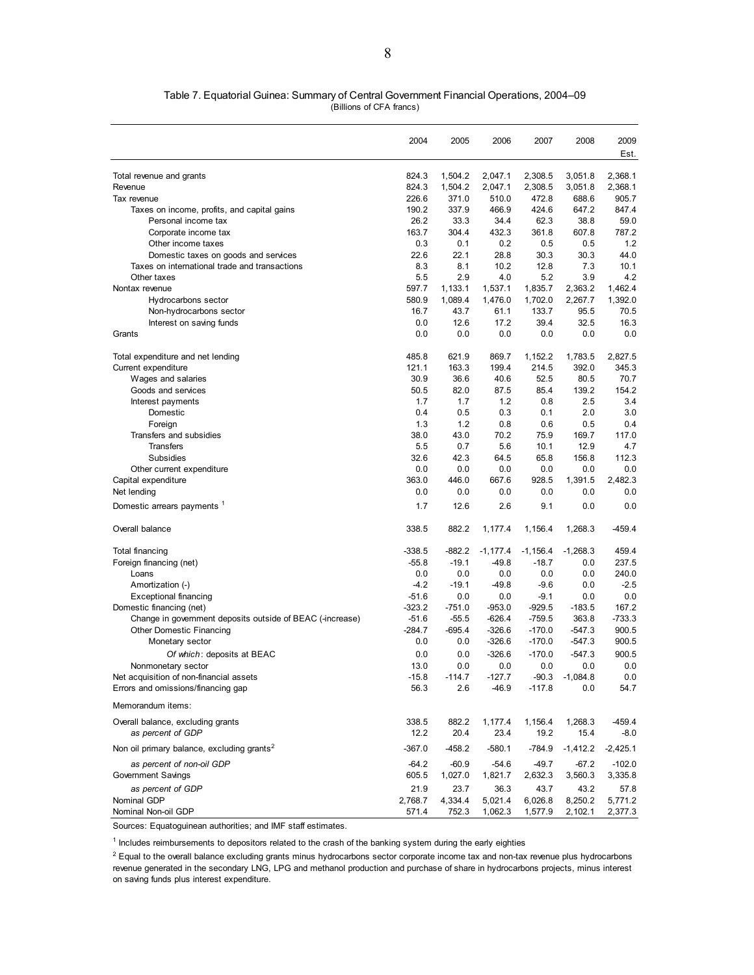| Table 7. Equatorial Guinea: Summary of Central Government Financial Operations, 2004–09 |  |
|-----------------------------------------------------------------------------------------|--|
| (Billions of CFA francs)                                                                |  |

|                                                           | 2004     | 2005     | 2006       | 2007       | 2008       | 2009<br>Est. |
|-----------------------------------------------------------|----------|----------|------------|------------|------------|--------------|
| Total revenue and grants                                  | 824.3    | 1,504.2  | 2,047.1    | 2,308.5    | 3,051.8    | 2,368.1      |
| Revenue                                                   | 824.3    | 1,504.2  | 2,047.1    | 2,308.5    | 3,051.8    | 2,368.1      |
| Tax revenue                                               | 226.6    | 371.0    | 510.0      | 472.8      | 688.6      | 905.7        |
| Taxes on income, profits, and capital gains               | 190.2    | 337.9    | 466.9      | 424.6      | 647.2      | 847.4        |
| Personal income tax                                       | 26.2     | 33.3     | 34.4       | 62.3       | 38.8       | 59.0         |
| Corporate income tax                                      | 163.7    | 304.4    | 432.3      | 361.8      | 607.8      | 787.2        |
| Other income taxes                                        | 0.3      | 0.1      | 0.2        | 0.5        | 0.5        | 1.2          |
| Domestic taxes on goods and services                      | 22.6     | 22.1     | 28.8       | 30.3       | 30.3       | 44.0         |
| Taxes on international trade and transactions             | 8.3      | 8.1      | 10.2       | 12.8       | 7.3        | 10.1         |
| Other taxes                                               | 5.5      | 2.9      | 4.0        | 5.2        | 3.9        | 4.2          |
| Nontax revenue                                            | 597.7    | 1,133.1  | 1,537.1    | 1,835.7    | 2,363.2    | 1,462.4      |
| Hydrocarbons sector                                       | 580.9    | 1,089.4  | 1,476.0    | 1,702.0    | 2,267.7    | 1,392.0      |
| Non-hydrocarbons sector                                   | 16.7     | 43.7     | 61.1       | 133.7      | 95.5       | 70.5         |
| Interest on saving funds                                  | 0.0      | 12.6     | 17.2       | 39.4       | 32.5       | 16.3         |
| Grants                                                    | 0.0      | 0.0      | 0.0        | 0.0        | 0.0        | 0.0          |
| Total expenditure and net lending                         | 485.8    | 621.9    | 869.7      | 1,152.2    | 1,783.5    | 2,827.5      |
| Current expenditure                                       | 121.1    | 163.3    | 199.4      | 214.5      | 392.0      | 345.3        |
| Wages and salaries                                        | 30.9     | 36.6     | 40.6       | 52.5       | 80.5       | 70.7         |
| Goods and services                                        | 50.5     | 82.0     | 87.5       | 85.4       | 139.2      | 154.2        |
| Interest payments                                         | 1.7      | 1.7      | 1.2        | 0.8        | 2.5        | 3.4          |
| Domestic                                                  | 0.4      | 0.5      | 0.3        | 0.1        | 2.0        | 3.0          |
| Foreign                                                   | 1.3      | 1.2      | 0.8        | 0.6        | 0.5        | 0.4          |
| Transfers and subsidies                                   | 38.0     | 43.0     | 70.2       | 75.9       | 169.7      | 117.0        |
| <b>Transfers</b>                                          | 5.5      | 0.7      | 5.6        | 10.1       | 12.9       | 4.7          |
| Subsidies                                                 | 32.6     | 42.3     | 64.5       | 65.8       | 156.8      | 112.3        |
| Other current expenditure                                 | 0.0      | 0.0      | 0.0        | 0.0        | 0.0        | 0.0          |
| Capital expenditure                                       | 363.0    | 446.0    | 667.6      | 928.5      | 1,391.5    | 2,482.3      |
| Net lending                                               | 0.0      | 0.0      | 0.0        | 0.0        | 0.0        | 0.0          |
| Domestic arrears payments 1                               | 1.7      | 12.6     | 2.6        | 9.1        | 0.0        | 0.0          |
| Overall balance                                           | 338.5    | 882.2    | 1,177.4    | 1,156.4    | 1,268.3    | $-459.4$     |
| Total financing                                           | $-338.5$ | $-882.2$ | $-1,177.4$ | $-1,156.4$ | $-1,268.3$ | 459.4        |
| Foreign financing (net)                                   | $-55.8$  | $-19.1$  | $-49.8$    | $-18.7$    | 0.0        | 237.5        |
| Loans                                                     | 0.0      | 0.0      | 0.0        | 0.0        | 0.0        | 240.0        |
| Amortization (-)                                          | $-4.2$   | $-19.1$  | $-49.8$    | $-9.6$     | 0.0        | $-2.5$       |
| <b>Exceptional financing</b>                              | $-51.6$  | 0.0      | 0.0        | $-9.1$     | 0.0        | 0.0          |
| Domestic financing (net)                                  | $-323.2$ | $-751.0$ | $-953.0$   | $-929.5$   | $-183.5$   | 167.2        |
| Change in government deposits outside of BEAC (-increase) | $-51.6$  | $-55.5$  | $-626.4$   | $-759.5$   | 363.8      | $-733.3$     |
| <b>Other Domestic Financing</b>                           | $-284.7$ | $-695.4$ | $-326.6$   | $-170.0$   | $-547.3$   | 900.5        |
| Monetary sector                                           | 0.0      | 0.0      | $-326.6$   | $-170.0$   | $-547.3$   | 900.5        |
| Of which: deposits at BEAC                                | 0.0      | 0.0      | $-326.6$   | $-170.0$   | $-547.3$   | 900.5        |
| Nonmonetary sector                                        | 13.0     | 0.0      | 0.0        | 0.0        | 0.0        | 0.0          |
| Net acquisition of non-financial assets                   | $-15.8$  | $-114.7$ | $-127.7$   | $-90.3$    | $-1,084.8$ | 0.0          |
| Errors and omissions/financing gap                        | 56.3     | 2.6      | $-46.9$    | $-117.8$   | 0.0        | 54.7         |
| Memorandum items:                                         |          |          |            |            |            |              |
| Overall balance, excluding grants                         | 338.5    | 882.2    | 1,177.4    | 1,156.4    | 1,268.3    | $-459.4$     |
| as percent of GDP                                         | 12.2     | 20.4     | 23.4       | 19.2       | 15.4       | $-8.0$       |
| Non oil primary balance, excluding grants <sup>2</sup>    | $-367.0$ | $-458.2$ | $-580.1$   | $-784.9$   | $-1,412.2$ | $-2,425.1$   |
| as percent of non-oil GDP                                 | $-64.2$  | $-60.9$  | $-54.6$    | $-49.7$    | $-67.2$    | $-102.0$     |
| Government Savings                                        | 605.5    | 1,027.0  | 1,821.7    | 2,632.3    | 3,560.3    | 3,335.8      |
| as percent of GDP                                         | 21.9     | 23.7     | 36.3       | 43.7       | 43.2       | 57.8         |
| Nominal GDP                                               | 2,768.7  | 4,334.4  | 5,021.4    | 6,026.8    | 8,250.2    | 5,771.2      |
| Nominal Non-oil GDP                                       | 571.4    | 752.3    | 1,062.3    | 1,577.9    | 2,102.1    | 2,377.3      |

<sup>1</sup> Includes reimbursements to depositors related to the crash of the banking system during the early eighties

 $^2$  Equal to the overall balance excluding grants minus hydrocarbons sector corporate income tax and non-tax revenue plus hydrocarbons revenue generated in the secondary LNG, LPG and methanol production and purchase of share in hydrocarbons projects, minus interest on saving funds plus interest expenditure.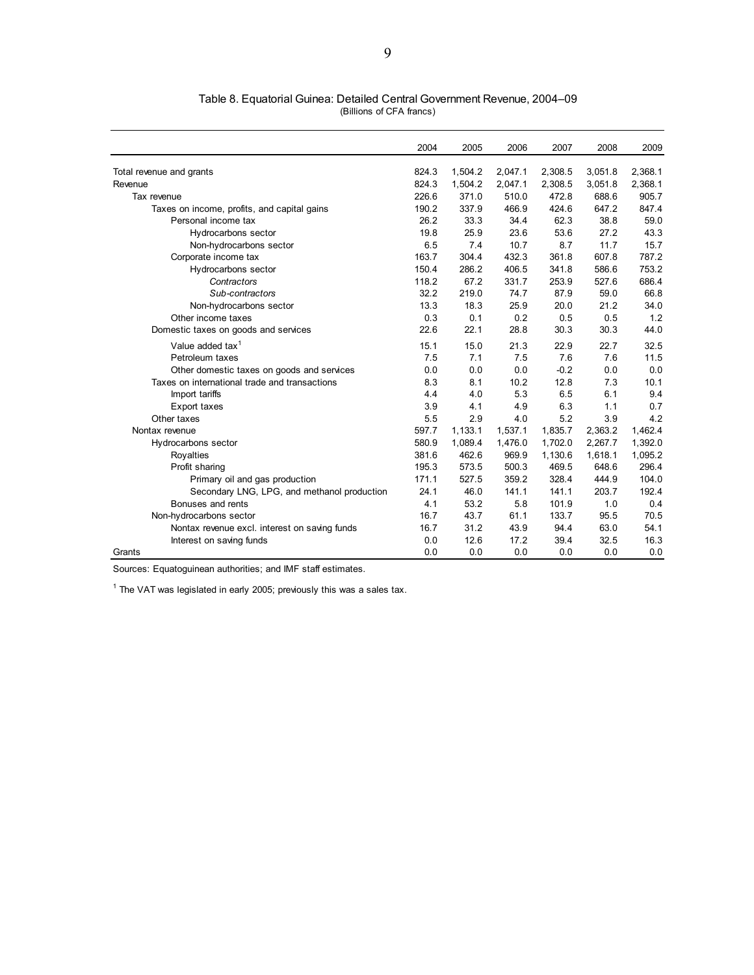|                                               | 2004  | 2005    | 2006    | 2007    | 2008    | 2009    |
|-----------------------------------------------|-------|---------|---------|---------|---------|---------|
| Total revenue and grants                      | 824.3 | 1,504.2 | 2,047.1 | 2,308.5 | 3,051.8 | 2,368.1 |
| Revenue                                       | 824.3 | 1,504.2 | 2,047.1 | 2,308.5 | 3,051.8 | 2,368.1 |
| Tax revenue                                   | 226.6 | 371.0   | 510.0   | 472.8   | 688.6   | 905.7   |
| Taxes on income, profits, and capital gains   | 190.2 | 337.9   | 466.9   | 424.6   | 647.2   | 847.4   |
| Personal income tax                           | 26.2  | 33.3    | 34.4    | 62.3    | 38.8    | 59.0    |
| Hydrocarbons sector                           | 19.8  | 25.9    | 23.6    | 53.6    | 27.2    | 43.3    |
| Non-hydrocarbons sector                       | 6.5   | 7.4     | 10.7    | 8.7     | 11.7    | 15.7    |
| Corporate income tax                          | 163.7 | 304.4   | 432.3   | 361.8   | 607.8   | 787.2   |
| Hydrocarbons sector                           | 150.4 | 286.2   | 406.5   | 341.8   | 586.6   | 753.2   |
| Contractors                                   | 118.2 | 67.2    | 331.7   | 253.9   | 527.6   | 686.4   |
| Sub-contractors                               | 32.2  | 219.0   | 74.7    | 87.9    | 59.0    | 66.8    |
| Non-hydrocarbons sector                       | 13.3  | 18.3    | 25.9    | 20.0    | 21.2    | 34.0    |
| Other income taxes                            | 0.3   | 0.1     | 0.2     | 0.5     | 0.5     | 1.2     |
| Domestic taxes on goods and services          | 22.6  | 22.1    | 28.8    | 30.3    | 30.3    | 44.0    |
| Value added tax <sup>1</sup>                  | 15.1  | 15.0    | 21.3    | 22.9    | 22.7    | 32.5    |
| Petroleum taxes                               | 7.5   | 7.1     | 7.5     | 7.6     | 7.6     | 11.5    |
| Other domestic taxes on goods and services    | 0.0   | 0.0     | 0.0     | $-0.2$  | 0.0     | 0.0     |
| Taxes on international trade and transactions | 8.3   | 8.1     | 10.2    | 12.8    | 7.3     | 10.1    |
| Import tariffs                                | 4.4   | 4.0     | 5.3     | 6.5     | 6.1     | 9.4     |
| Export taxes                                  | 3.9   | 4.1     | 4.9     | 6.3     | 1.1     | 0.7     |
| Other taxes                                   | 5.5   | 2.9     | 4.0     | 5.2     | 3.9     | 4.2     |
| Nontax revenue                                | 597.7 | 1,133.1 | 1,537.1 | 1,835.7 | 2,363.2 | 1,462.4 |
| Hydrocarbons sector                           | 580.9 | 1,089.4 | 1,476.0 | 1,702.0 | 2,267.7 | 1,392.0 |
| Rovalties                                     | 381.6 | 462.6   | 969.9   | 1,130.6 | 1,618.1 | 1,095.2 |
| Profit sharing                                | 195.3 | 573.5   | 500.3   | 469.5   | 648.6   | 296.4   |
| Primary oil and gas production                | 171.1 | 527.5   | 359.2   | 328.4   | 444.9   | 104.0   |
| Secondary LNG, LPG, and methanol production   | 24.1  | 46.0    | 141.1   | 141.1   | 203.7   | 192.4   |
| Bonuses and rents                             | 4.1   | 53.2    | 5.8     | 101.9   | 1.0     | 0.4     |
| Non-hydrocarbons sector                       | 16.7  | 43.7    | 61.1    | 133.7   | 95.5    | 70.5    |
| Nontax revenue excl. interest on saving funds | 16.7  | 31.2    | 43.9    | 94.4    | 63.0    | 54.1    |
| Interest on saving funds                      | 0.0   | 12.6    | 17.2    | 39.4    | 32.5    | 16.3    |
| Grants                                        | 0.0   | 0.0     | 0.0     | 0.0     | 0.0     | 0.0     |

| Table 8. Equatorial Guinea: Detailed Central Government Revenue, 2004–09 |                          |  |  |
|--------------------------------------------------------------------------|--------------------------|--|--|
|                                                                          | (Billions of CFA francs) |  |  |

 $1$  The VAT was legislated in early 2005; previously this was a sales tax.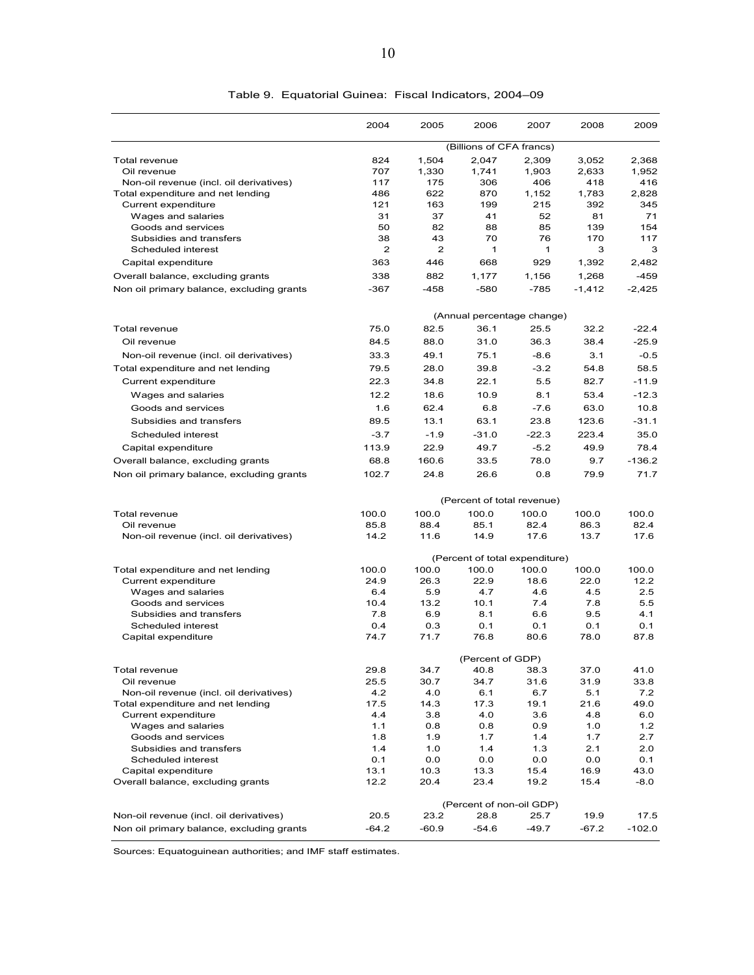|                                                          | 2004         | 2005           | 2006                       | 2007                           | 2008         | 2009         |
|----------------------------------------------------------|--------------|----------------|----------------------------|--------------------------------|--------------|--------------|
|                                                          |              |                | (Billions of CFA francs)   |                                |              |              |
| <b>Total revenue</b>                                     | 824          | 1,504          | 2,047                      | 2,309                          | 3,052        | 2,368        |
| Oil revenue                                              | 707          | 1,330          | 1,741                      | 1,903                          | 2,633        | 1,952        |
| Non-oil revenue (incl. oil derivatives)                  | 117          | 175            | 306                        | 406                            | 418          | 416          |
| Total expenditure and net lending                        | 486          | 622            | 870                        | 1,152                          | 1,783        | 2,828        |
| Current expenditure                                      | 121          | 163            | 199                        | 215                            | 392          | 345          |
| Wages and salaries                                       | 31           | 37             | 41                         | 52                             | 81           | 71           |
| Goods and services<br>Subsidies and transfers            | 50<br>38     | 82<br>43       | 88<br>70                   | 85<br>76                       | 139<br>170   | 154<br>117   |
| Scheduled interest                                       | $\mathbf{2}$ | $\overline{2}$ | 1                          | 1                              | 3            | 3            |
| Capital expenditure                                      | 363          | 446            | 668                        | 929                            | 1,392        | 2,482        |
|                                                          |              |                |                            |                                |              |              |
| Overall balance, excluding grants                        | 338          | 882            | 1,177                      | 1,156                          | 1,268        | $-459$       |
| Non oil primary balance, excluding grants                | $-367$       | $-458$         | $-580$                     | -785                           | $-1,412$     | $-2,425$     |
|                                                          |              |                |                            | (Annual percentage change)     |              |              |
| Total revenue                                            | 75.0         | 82.5           | 36.1                       | 25.5                           | 32.2         | $-22.4$      |
| Oil revenue                                              | 84.5         | 88.0           | 31.0                       | 36.3                           | 38.4         | $-25.9$      |
| Non-oil revenue (incl. oil derivatives)                  | 33.3         | 49.1           | 75.1                       | $-8.6$                         | 3.1          | $-0.5$       |
| Total expenditure and net lending                        | 79.5         | 28.0           | 39.8                       | $-3.2$                         | 54.8         | 58.5         |
| Current expenditure                                      | 22.3         | 34.8           | 22.1                       | 5.5                            | 82.7         | $-11.9$      |
| Wages and salaries                                       | 12.2         | 18.6           | 10.9                       | 8.1                            | 53.4         | $-12.3$      |
| Goods and services                                       | 1.6          | 62.4           | 6.8                        | $-7.6$                         | 63.0         | 10.8         |
| Subsidies and transfers                                  | 89.5         | 13.1           | 63.1                       | 23.8                           | 123.6        | $-31.1$      |
|                                                          | $-3.7$       |                |                            |                                |              |              |
| Scheduled interest                                       |              | $-1.9$         | $-31.0$                    | $-22.3$                        | 223.4        | 35.0         |
| Capital expenditure                                      | 113.9        | 22.9           | 49.7                       | $-5.2$                         | 49.9         | 78.4         |
| Overall balance, excluding grants                        | 68.8         | 160.6          | 33.5                       | 78.0                           | 9.7          | $-136.2$     |
| Non oil primary balance, excluding grants                | 102.7        | 24.8           | 26.6                       | 0.8                            | 79.9         | 71.7         |
|                                                          |              |                | (Percent of total revenue) |                                |              |              |
| Total revenue                                            | 100.0        | 100.0          | 100.0                      | 100.0                          | 100.0        | 100.0        |
| Oil revenue                                              | 85.8         | 88.4           | 85.1                       | 82.4                           | 86.3         | 82.4         |
| Non-oil revenue (incl. oil derivatives)                  | 14.2         | 11.6           | 14.9                       | 17.6                           | 13.7         | 17.6         |
|                                                          |              |                |                            | (Percent of total expenditure) |              |              |
| Total expenditure and net lending                        | 100.0        | 100.0          | 100.0                      | 100.0                          | 100.0        | 100.0        |
| Current expenditure                                      | 24.9         | 26.3           | 22.9                       | 18.6                           | 22.0         | 12.2         |
| Wages and salaries                                       | 6.4          | 5.9            | 4.7                        | 4.6                            | 4.5          | 2.5          |
| Goods and services<br>Subsidies and transfers            | 10.4<br>7.8  | 13.2<br>6.9    | 10.1<br>8.1                | 7.4<br>6.6                     | 7.8<br>9.5   | 5.5<br>4.1   |
| Scheduled interest                                       | 0.4          | 0.3            | 0.1                        | 0.1                            | 0.1          | 0.1          |
| Capital expenditure                                      | 74.7         | 71.7           | 76.8                       | 80.6                           | 78.0         | 87.8         |
|                                                          |              |                | (Percent of GDP)           |                                |              |              |
| Total revenue                                            | 29.8         | 34.7           | 40.8                       | 38.3                           | 37.0         | 41.0         |
| Oil revenue                                              | 25.5         | 30.7           | 34.7                       | 31.6                           | 31.9         | 33.8         |
| Non-oil revenue (incl. oil derivatives)                  | 4.2          | 4.0            | 6.1                        | 6.7                            | 5.1          | 7.2          |
| Total expenditure and net lending                        | 17.5         | 14.3           | 17.3                       | 19.1                           | 21.6         | 49.0         |
| Current expenditure                                      | 4.4          | 3.8            | 4.0                        | 3.6                            | 4.8          | 6.0          |
| Wages and salaries                                       | 1.1          | 0.8            | 0.8                        | 0.9                            | 1.0          | 1.2          |
| Goods and services                                       | 1.8          | 1.9            | 1.7                        | 1.4                            | 1.7          | 2.7          |
| Subsidies and transfers                                  | 1.4          | 1.0            | 1.4                        | 1.3                            | 2.1          | 2.0          |
| Scheduled interest                                       | 0.1          | 0.0            | $0.0\,$                    | 0.0                            | 0.0          | 0.1          |
| Capital expenditure<br>Overall balance, excluding grants | 13.1<br>12.2 | 10.3<br>20.4   | 13.3<br>23.4               | 15.4<br>19.2                   | 16.9<br>15.4 | 43.0<br>-8.0 |
|                                                          |              |                |                            |                                |              |              |
|                                                          |              |                | (Percent of non-oil GDP)   |                                |              |              |
| Non-oil revenue (incl. oil derivatives)                  | 20.5         | 23.2           | 28.8                       | 25.7                           | 19.9         | 17.5         |
| Non oil primary balance, excluding grants                | $-64.2$      | $-60.9$        | $-54.6$                    | $-49.7$                        | $-67.2$      | $-102.0$     |

Table 9. Equatorial Guinea: Fiscal Indicators, 2004–09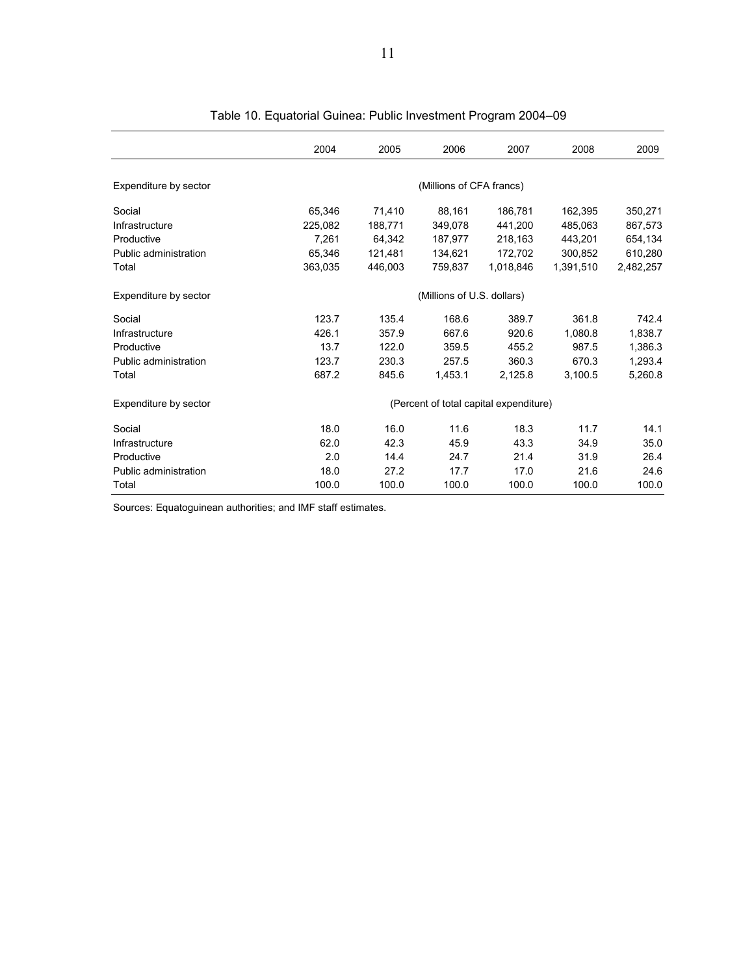|                       | 2004    | 2005    | 2006                       | 2007                                   | 2008      | 2009      |
|-----------------------|---------|---------|----------------------------|----------------------------------------|-----------|-----------|
| Expenditure by sector |         |         | (Millions of CFA francs)   |                                        |           |           |
| Social                | 65,346  | 71,410  | 88,161                     | 186,781                                | 162.395   | 350,271   |
| Infrastructure        | 225,082 | 188,771 | 349.078                    | 441.200                                | 485.063   | 867,573   |
| Productive            | 7,261   | 64,342  | 187,977                    | 218,163                                | 443,201   | 654,134   |
| Public administration | 65.346  | 121.481 | 134.621                    | 172.702                                | 300.852   | 610,280   |
| Total                 | 363,035 | 446.003 | 759.837                    | 1.018.846                              | 1.391.510 | 2.482.257 |
| Expenditure by sector |         |         | (Millions of U.S. dollars) |                                        |           |           |
| Social                | 123.7   | 135.4   | 168.6                      | 389.7                                  | 361.8     | 742.4     |
| Infrastructure        | 426.1   | 357.9   | 667.6                      | 920.6                                  | 1.080.8   | 1,838.7   |
| Productive            | 13.7    | 122.0   | 359.5                      | 455.2                                  | 987.5     | 1,386.3   |
| Public administration | 123.7   | 230.3   | 257.5                      | 360.3                                  | 670.3     | 1,293.4   |
| Total                 | 687.2   | 845.6   | 1,453.1                    | 2,125.8                                | 3.100.5   | 5.260.8   |
| Expenditure by sector |         |         |                            | (Percent of total capital expenditure) |           |           |
| Social                | 18.0    | 16.0    | 11.6                       | 18.3                                   | 11.7      | 14.1      |
| Infrastructure        | 62.0    | 42.3    | 45.9                       | 43.3                                   | 34.9      | 35.0      |
| Productive            | 2.0     | 14.4    | 24.7                       | 21.4                                   | 31.9      | 26.4      |
| Public administration | 18.0    | 27.2    | 17.7                       | 17.0                                   | 21.6      | 24.6      |
| Total                 | 100.0   | 100.0   | 100.0                      | 100.0                                  | 100.0     | 100.0     |

| Table 10. Equatorial Guinea: Public Investment Program 2004-09 |  |  |  |
|----------------------------------------------------------------|--|--|--|
|                                                                |  |  |  |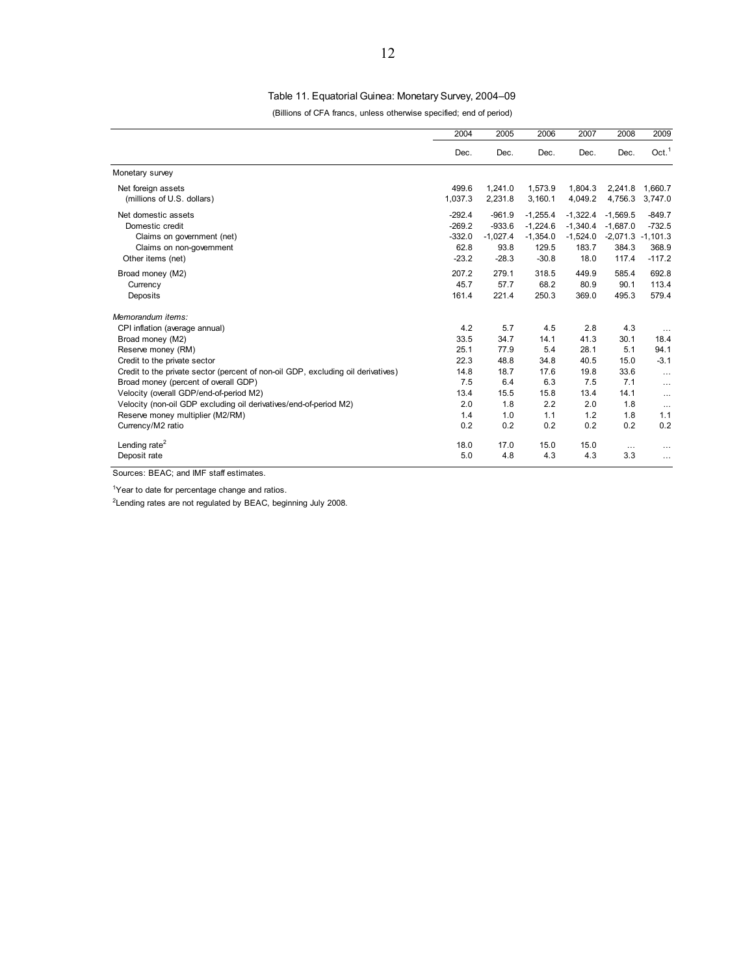## Table 11. Equatorial Guinea: Monetary Survey, 2004–09

(Billions of CFA francs, unless otherwise specified; end of period)

|                                                                                                                                                                                                                                                                                                                                                                                                                                    | 2004                                                                    | 2005                                                                    | 2006                                                                   | 2007                                                                    | 2008                                                                   | 2009                                                                                             |
|------------------------------------------------------------------------------------------------------------------------------------------------------------------------------------------------------------------------------------------------------------------------------------------------------------------------------------------------------------------------------------------------------------------------------------|-------------------------------------------------------------------------|-------------------------------------------------------------------------|------------------------------------------------------------------------|-------------------------------------------------------------------------|------------------------------------------------------------------------|--------------------------------------------------------------------------------------------------|
|                                                                                                                                                                                                                                                                                                                                                                                                                                    | Dec.                                                                    | Dec.                                                                    | Dec.                                                                   | Dec.                                                                    | Dec.                                                                   | Oct. <sup>1</sup>                                                                                |
| Monetary survey                                                                                                                                                                                                                                                                                                                                                                                                                    |                                                                         |                                                                         |                                                                        |                                                                         |                                                                        |                                                                                                  |
| Net foreign assets<br>(millions of U.S. dollars)                                                                                                                                                                                                                                                                                                                                                                                   | 499.6<br>1,037.3                                                        | 1,241.0<br>2,231.8                                                      | 1,573.9<br>3,160.1                                                     | 1,804.3<br>4,049.2                                                      | 2,241.8<br>4,756.3                                                     | 1,660.7<br>3,747.0                                                                               |
| Net domestic assets<br>Domestic credit<br>Claims on government (net)<br>Claims on non-government<br>Other items (net)                                                                                                                                                                                                                                                                                                              | $-292.4$<br>$-269.2$<br>$-332.0$<br>62.8<br>$-23.2$                     | $-961.9$<br>$-933.6$<br>$-1,027.4$<br>93.8<br>$-28.3$                   | $-1,255.4$<br>$-1,224.6$<br>$-1,354.0$<br>129.5<br>$-30.8$             | $-1,322.4$<br>$-1.340.4$<br>$-1,524.0$<br>183.7<br>18.0                 | $-1.569.5$<br>$-1.687.0$<br>384.3<br>117.4                             | $-849.7$<br>$-732.5$<br>$-2,071.3 -1,101.3$<br>368.9<br>$-117.2$                                 |
| Broad money (M2)<br>Currency<br>Deposits                                                                                                                                                                                                                                                                                                                                                                                           | 207.2<br>45.7<br>161.4                                                  | 279.1<br>57.7<br>221.4                                                  | 318.5<br>68.2<br>250.3                                                 | 449.9<br>80.9<br>369.0                                                  | 585.4<br>90.1<br>495.3                                                 | 692.8<br>113.4<br>579.4                                                                          |
| Memorandum items:<br>CPI inflation (average annual)<br>Broad money (M2)<br>Reserve money (RM)<br>Credit to the private sector<br>Credit to the private sector (percent of non-oil GDP, excluding oil derivatives)<br>Broad money (percent of overall GDP)<br>Velocity (overall GDP/end-of-period M2)<br>Velocity (non-oil GDP excluding oil derivatives/end-of-period M2)<br>Reserve money multiplier (M2/RM)<br>Currency/M2 ratio | 4.2<br>33.5<br>25.1<br>22.3<br>14.8<br>7.5<br>13.4<br>2.0<br>1.4<br>0.2 | 5.7<br>34.7<br>77.9<br>48.8<br>18.7<br>6.4<br>15.5<br>1.8<br>1.0<br>0.2 | 4.5<br>14.1<br>5.4<br>34.8<br>17.6<br>6.3<br>15.8<br>2.2<br>1.1<br>0.2 | 2.8<br>41.3<br>28.1<br>40.5<br>19.8<br>7.5<br>13.4<br>2.0<br>1.2<br>0.2 | 4.3<br>30.1<br>5.1<br>15.0<br>33.6<br>7.1<br>14.1<br>1.8<br>1.8<br>0.2 | $\cdots$<br>18.4<br>94.1<br>$-3.1$<br>$\cdots$<br>$\cdots$<br>$\cdots$<br>$\cdots$<br>1.1<br>0.2 |
| Lending rate <sup>2</sup><br>Deposit rate                                                                                                                                                                                                                                                                                                                                                                                          | 18.0<br>5.0                                                             | 17.0<br>4.8                                                             | 15.0<br>4.3                                                            | 15.0<br>4.3                                                             | $\cdots$<br>3.3                                                        | $\cdots$<br>$\cdots$                                                                             |

Sources: BEAC; and IMF staff estimates.

<sup>1</sup>Year to date for percentage change and ratios.

<sup>2</sup> Lending rates are not regulated by BEAC, beginning July 2008.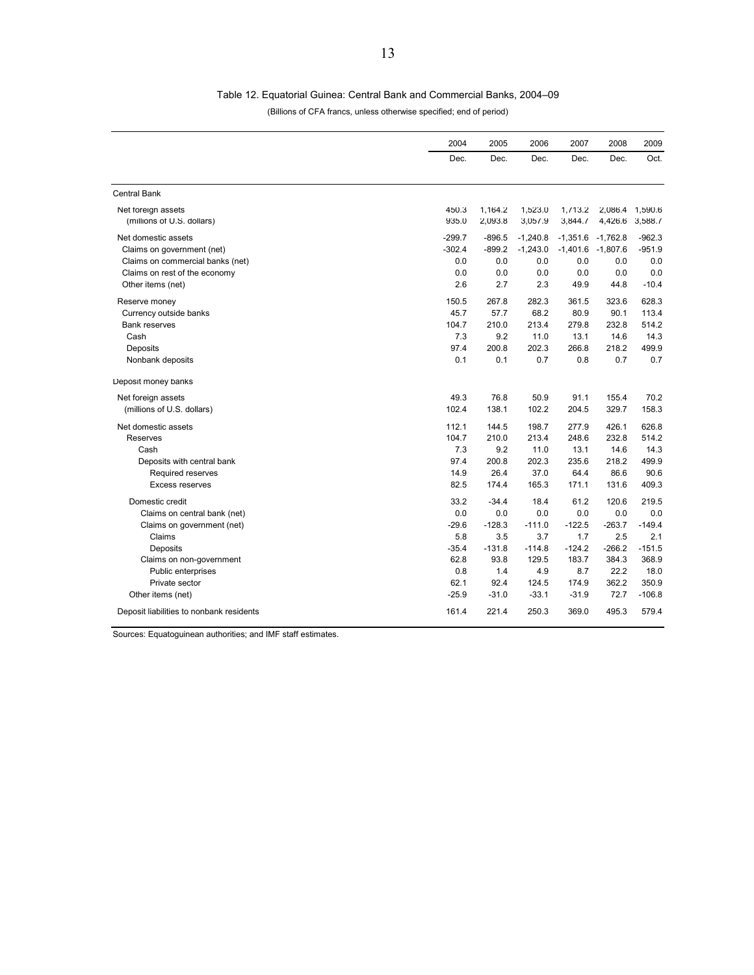#### Table 12. Equatorial Guinea: Central Bank and Commercial Banks, 2004–09

(Billions of CFA francs, unless otherwise specified; end of period)

|                                                  | 2004           | 2005               | 2006               | 2007               | 2008                  | 2009               |
|--------------------------------------------------|----------------|--------------------|--------------------|--------------------|-----------------------|--------------------|
|                                                  | Dec.           | Dec.               | Dec.               | Dec.               | Dec.                  | Oct.               |
| <b>Central Bank</b>                              |                |                    |                    |                    |                       |                    |
| Net foreign assets<br>(millions of U.S. dollars) | 450.3<br>935.0 | 1,164.2<br>2,093.8 | 1,523.0<br>3,057.9 | 1,713.2<br>3,844.7 | 2,086.4<br>4,426.6    | 1,590.6<br>3,588.7 |
| Net domestic assets                              | $-299.7$       | $-896.5$           | $-1,240.8$         | $-1,351.6$         | $-1,762.8$            | $-962.3$           |
| Claims on government (net)                       | $-302.4$       | $-899.2$           | $-1,243.0$         |                    | $-1,401.6$ $-1,807.6$ | $-951.9$           |
| Claims on commercial banks (net)                 | 0.0            | 0.0                | 0.0                | 0.0                | 0.0                   | 0.0                |
| Claims on rest of the economy                    | 0.0            | 0.0                | 0.0                | 0.0                | 0.0                   | 0.0                |
| Other items (net)                                | 2.6            | 2.7                | 2.3                | 49.9               | 44.8                  | $-10.4$            |
| Reserve money                                    | 150.5          | 267.8              | 282.3              | 361.5              | 323.6                 | 628.3              |
| Currency outside banks                           | 45.7           | 57.7               | 68.2               | 80.9               | 90.1                  | 113.4              |
| <b>Bank reserves</b>                             | 104.7          | 210.0              | 213.4              | 279.8              | 232.8                 | 514.2              |
| Cash                                             | 7.3            | 9.2                | 11.0               | 13.1               | 14.6                  | 14.3               |
| Deposits                                         | 97.4           | 200.8              | 202.3              | 266.8              | 218.2                 | 499.9              |
| Nonbank deposits                                 | 0.1            | 0.1                | 0.7                | 0.8                | 0.7                   | 0.7                |
| Deposit money banks                              |                |                    |                    |                    |                       |                    |
| Net foreign assets                               | 49.3           | 76.8               | 50.9               | 91.1               | 155.4                 | 70.2               |
| (millions of U.S. dollars)                       | 102.4          | 138.1              | 102.2              | 204.5              | 329.7                 | 158.3              |
| Net domestic assets                              | 112.1          | 144.5              | 198.7              | 277.9              | 426.1                 | 626.8              |
| Reserves                                         | 104.7          | 210.0              | 213.4              | 248.6              | 232.8                 | 514.2              |
| Cash                                             | 7.3            | 9.2                | 11.0               | 13.1               | 14.6                  | 14.3               |
| Deposits with central bank                       | 97.4           | 200.8              | 202.3              | 235.6              | 218.2                 | 499.9              |
| Required reserves                                | 14.9           | 26.4               | 37.0               | 64.4               | 86.6                  | 90.6               |
| <b>Excess reserves</b>                           | 82.5           | 174.4              | 165.3              | 171.1              | 131.6                 | 409.3              |
| Domestic credit                                  | 33.2           | $-34.4$            | 18.4               | 61.2               | 120.6                 | 219.5              |
| Claims on central bank (net)                     | 0.0            | 0.0                | 0.0                | 0.0                | 0.0                   | 0.0                |
| Claims on government (net)                       | $-29.6$        | $-128.3$           | $-111.0$           | $-122.5$           | $-263.7$              | $-149.4$           |
| Claims                                           | 5.8            | 3.5                | 3.7                | 1.7                | 2.5                   | 2.1                |
| Deposits                                         | $-35.4$        | $-131.8$           | $-114.8$           | $-124.2$           | $-266.2$              | $-151.5$           |
| Claims on non-government                         | 62.8           | 93.8               | 129.5              | 183.7              | 384.3                 | 368.9              |
| Public enterprises                               | 0.8            | 1.4                | 4.9                | 8.7                | 22.2                  | 18.0               |
| Private sector                                   | 62.1           | 92.4               | 124.5              | 174.9              | 362.2                 | 350.9              |
| Other items (net)                                | $-25.9$        | $-31.0$            | $-33.1$            | $-31.9$            | 72.7                  | $-106.8$           |
| Deposit liabilities to nonbank residents         | 161.4          | 221.4              | 250.3              | 369.0              | 495.3                 | 579.4              |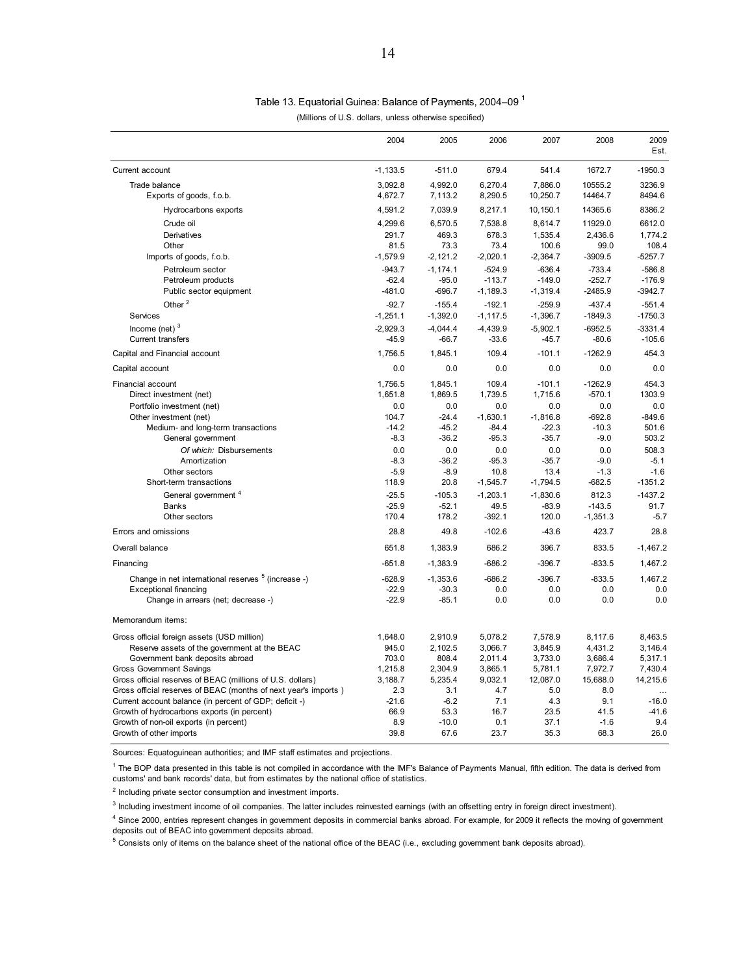# Table 13. Equatorial Guinea: Balance of Payments, 2004–09 1

| (Millions of U.S. dollars, unless otherwise specified) |  |  |  |
|--------------------------------------------------------|--|--|--|
|--------------------------------------------------------|--|--|--|

|                                                                                                       | 2004            | 2005           | 2006           | 2007           | 2008          | 2009<br>Est.       |
|-------------------------------------------------------------------------------------------------------|-----------------|----------------|----------------|----------------|---------------|--------------------|
| Current account                                                                                       | $-1, 133.5$     | $-511.0$       | 679.4          | 541.4          | 1672.7        | $-1950.3$          |
| Trade balance                                                                                         | 3.092.8         | 4.992.0        | 6.270.4        | 7.886.0        | 10555.2       | 3236.9             |
| Exports of goods, f.o.b.                                                                              | 4,672.7         | 7,113.2        | 8,290.5        | 10,250.7       | 14464.7       | 8494.6             |
| Hydrocarbons exports                                                                                  | 4,591.2         | 7,039.9        | 8,217.1        | 10,150.1       | 14365.6       | 8386.2             |
| Crude oil                                                                                             | 4,299.6         | 6,570.5        | 7,538.8        | 8,614.7        | 11929.0       | 6612.0             |
| Derivatives                                                                                           | 291.7           | 469.3          | 678.3          | 1,535.4        | 2,436.6       | 1,774.2            |
| Other                                                                                                 | 81.5            | 73.3           | 73.4           | 100.6          | 99.0          | 108.4              |
| Imports of goods, f.o.b.                                                                              | $-1,579.9$      | $-2,121.2$     | $-2,020.1$     | $-2,364.7$     | $-3909.5$     | $-5257.7$          |
| Petroleum sector                                                                                      | $-943.7$        | $-1, 174.1$    | $-524.9$       | $-636.4$       | $-733.4$      | $-586.8$           |
| Petroleum products                                                                                    | $-62.4$         | $-95.0$        | $-113.7$       | $-149.0$       | $-252.7$      | $-176.9$           |
| Public sector equipment                                                                               | $-481.0$        | $-696.7$       | $-1,189.3$     | $-1,319.4$     | $-2485.9$     | $-3942.7$          |
| Other <sup>2</sup>                                                                                    | $-92.7$         | $-155.4$       | $-192.1$       | $-259.9$       | $-437.4$      | $-551.4$           |
| Services                                                                                              | $-1,251.1$      | $-1,392.0$     | $-1, 117.5$    | $-1,396.7$     | $-1849.3$     | $-1750.3$          |
| Income (net) $3$                                                                                      | $-2,929.3$      | $-4,044.4$     | $-4,439.9$     | $-5,902.1$     | $-6952.5$     | $-3331.4$          |
| Current transfers                                                                                     | $-45.9$         | $-66.7$        | $-33.6$        | $-45.7$        | $-80.6$       | $-105.6$           |
| Capital and Financial account                                                                         | 1,756.5         | 1,845.1        | 109.4          | $-101.1$       | $-1262.9$     | 454.3              |
| Capital account                                                                                       | 0.0             | 0.0            | 0.0            | 0.0            | 0.0           | 0.0                |
| <b>Financial account</b>                                                                              | 1,756.5         | 1,845.1        | 109.4          | $-101.1$       | $-1262.9$     | 454.3              |
| Direct investment (net)                                                                               | 1,651.8         | 1,869.5        | 1,739.5        | 1,715.6        | $-570.1$      | 1303.9             |
| Portfolio investment (net)                                                                            | 0.0             | 0.0            | 0.0            | 0.0            | 0.0           | 0.0                |
| Other investment (net)                                                                                | 104.7           | $-24.4$        | $-1,630.1$     | $-1,816.8$     | $-692.8$      | $-849.6$           |
| Medium- and long-term transactions                                                                    | $-14.2$         | $-45.2$        | $-84.4$        | $-22.3$        | $-10.3$       | 501.6              |
| General government                                                                                    | $-8.3$          | $-36.2$        | $-95.3$        | $-35.7$        | $-9.0$        | 503.2              |
| Of which: Disbursements<br>Amortization                                                               | 0.0<br>$-8.3$   | 0.0<br>$-36.2$ | 0.0<br>$-95.3$ | 0.0<br>$-35.7$ | 0.0<br>$-9.0$ | 508.3<br>$-5.1$    |
| Other sectors                                                                                         | $-5.9$          | $-8.9$         | 10.8           | 13.4           | $-1.3$        | $-1.6$             |
| Short-term transactions                                                                               | 118.9           | 20.8           | $-1,545.7$     | $-1,794.5$     | $-682.5$      | $-1351.2$          |
| General government <sup>4</sup>                                                                       | $-25.5$         | $-105.3$       | $-1,203.1$     | $-1,830.6$     | 812.3         | $-1437.2$          |
| <b>Banks</b>                                                                                          | $-25.9$         | $-52.1$        | 49.5           | $-83.9$        | $-143.5$      | 91.7               |
| Other sectors                                                                                         | 170.4           | 178.2          | $-392.1$       | 120.0          | $-1,351.3$    | $-5.7$             |
| Errors and omissions                                                                                  | 28.8            | 49.8           | $-102.6$       | $-43.6$        | 423.7         | 28.8               |
| Overall balance                                                                                       | 651.8           | 1,383.9        | 686.2          | 396.7          | 833.5         | $-1,467.2$         |
| Financing                                                                                             | $-651.8$        | $-1,383.9$     | $-686.2$       | $-396.7$       | $-833.5$      | 1,467.2            |
| Change in net international reserves <sup>5</sup> (increase -)                                        | $-628.9$        | $-1,353.6$     | $-686.2$       | $-396.7$       | $-833.5$      | 1,467.2            |
| <b>Exceptional financing</b>                                                                          | $-22.9$         | $-30.3$        | 0.0            | 0.0            | 0.0           | 0.0                |
| Change in arrears (net; decrease -)                                                                   | $-22.9$         | $-85.1$        | 0.0            | 0.0            | 0.0           | 0.0                |
| Memorandum items:                                                                                     |                 |                |                |                |               |                    |
| Gross official foreign assets (USD million)                                                           | 1,648.0         | 2,910.9        | 5,078.2        | 7,578.9        | 8,117.6       | 8,463.5            |
| Reserve assets of the government at the BEAC                                                          | 945.0           | 2,102.5        | 3,066.7        | 3,845.9        | 4,431.2       | 3,146.4            |
| Government bank deposits abroad                                                                       | 703.0           | 808.4          | 2,011.4        | 3,733.0        | 3,686.4       | 5,317.1            |
| <b>Gross Government Savings</b>                                                                       | 1,215.8         | 2,304.9        | 3,865.1        | 5,781.1        | 7,972.7       | 7,430.4            |
| Gross official reserves of BEAC (millions of U.S. dollars)                                            | 3,188.7         | 5,235.4        | 9,032.1        | 12,087.0       | 15,688.0      | 14,215.6           |
| Gross official reserves of BEAC (months of next year's imports)                                       | 2.3             | 3.1            | 4.7            | 5.0            | 8.0<br>9.1    | $\ddotsc$          |
| Current account balance (in percent of GDP; deficit -)<br>Growth of hydrocarbons exports (in percent) | $-21.6$<br>66.9 | $-6.2$<br>53.3 | 7.1<br>16.7    | 4.3<br>23.5    | 41.5          | $-16.0$<br>$-41.6$ |
| Growth of non-oil exports (in percent)                                                                | 8.9             | $-10.0$        | 0.1            | 37.1           | $-1.6$        | 9.4                |
| Growth of other imports                                                                               | 39.8            | 67.6           | 23.7           | 35.3           | 68.3          | 26.0               |

Sources: Equatoguinean authorities; and IMF staff estimates and projections.

<sup>1</sup> The BOP data presented in this table is not compiled in accordance with the IMF's Balance of Payments Manual, fifth edition. The data is derived from customs' and bank records' data, but from estimates by the national office of statistics.

<sup>2</sup> Including private sector consumption and investment imports.

<sup>3</sup> Including investment income of oil companies. The latter includes reinvested earnings (with an offsetting entry in foreign direct investment).

<sup>4</sup> Since 2000, entries represent changes in government deposits in commercial banks abroad. For example, for 2009 it reflects the moving of government deposits out of BEAC into government deposits abroad.

 $5$  Consists only of items on the balance sheet of the national office of the BEAC (i.e., excluding government bank deposits abroad).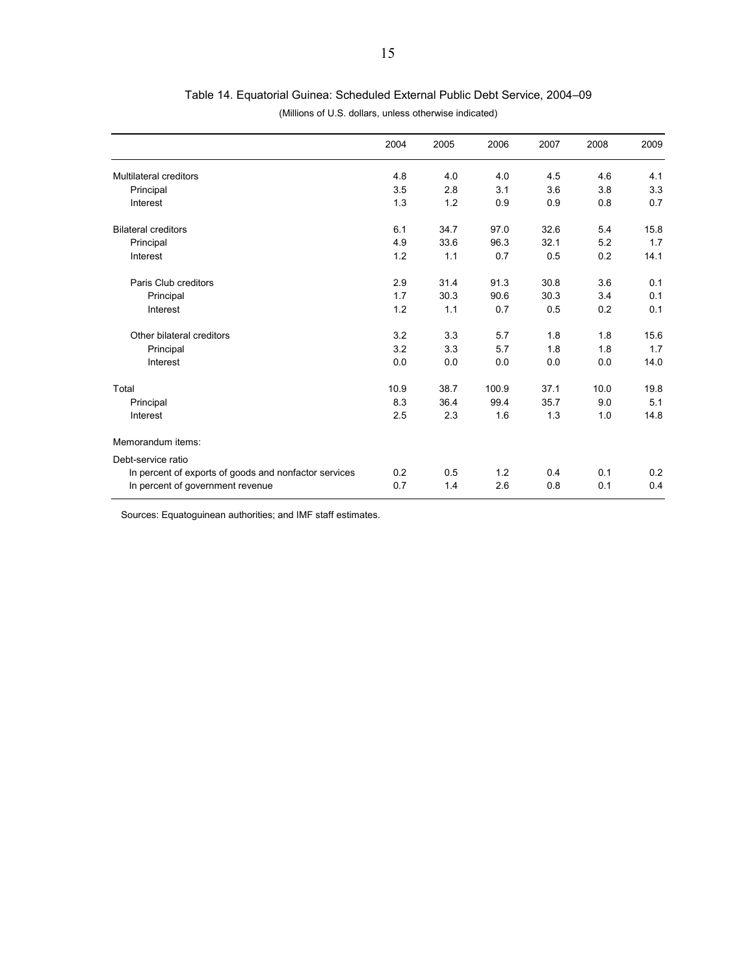|  |  | Table 14. Equatorial Guinea: Scheduled External Public Debt Service, 2004–09 |  |  |  |  |
|--|--|------------------------------------------------------------------------------|--|--|--|--|
|--|--|------------------------------------------------------------------------------|--|--|--|--|

|                                                       | 2004 | 2005 | 2006  | 2007 | 2008 | 2009 |
|-------------------------------------------------------|------|------|-------|------|------|------|
| <b>Multilateral creditors</b>                         | 4.8  | 4.0  | 4.0   | 4.5  | 4.6  | 4.1  |
| Principal                                             | 3.5  | 2.8  | 3.1   | 3.6  | 3.8  | 3.3  |
| Interest                                              | 1.3  | 1.2  | 0.9   | 0.9  | 0.8  | 0.7  |
| <b>Bilateral creditors</b>                            | 6.1  | 34.7 | 97.0  | 32.6 | 5.4  | 15.8 |
| Principal                                             | 4.9  | 33.6 | 96.3  | 32.1 | 5.2  | 1.7  |
| Interest                                              | 1.2  | 1.1  | 0.7   | 0.5  | 0.2  | 14.1 |
| Paris Club creditors                                  | 2.9  | 31.4 | 91.3  | 30.8 | 3.6  | 0.1  |
| Principal                                             | 1.7  | 30.3 | 90.6  | 30.3 | 3.4  | 0.1  |
| Interest                                              | 1.2  | 1.1  | 0.7   | 0.5  | 0.2  | 0.1  |
| Other bilateral creditors                             | 3.2  | 3.3  | 5.7   | 1.8  | 1.8  | 15.6 |
| Principal                                             | 3.2  | 3.3  | 5.7   | 1.8  | 1.8  | 1.7  |
| Interest                                              | 0.0  | 0.0  | 0.0   | 0.0  | 0.0  | 14.0 |
| Total                                                 | 10.9 | 38.7 | 100.9 | 37.1 | 10.0 | 19.8 |
| Principal                                             | 8.3  | 36.4 | 99.4  | 35.7 | 9.0  | 5.1  |
| Interest                                              | 2.5  | 2.3  | 1.6   | 1.3  | 1.0  | 14.8 |
| Memorandum items:                                     |      |      |       |      |      |      |
| Debt-service ratio                                    |      |      |       |      |      |      |
| In percent of exports of goods and nonfactor services | 0.2  | 0.5  | 1.2   | 0.4  | 0.1  | 0.2  |
| In percent of government revenue                      | 0.7  | 1.4  | 2.6   | 0.8  | 0.1  | 0.4  |

(Millions of U.S. dollars, unless otherwise indicated)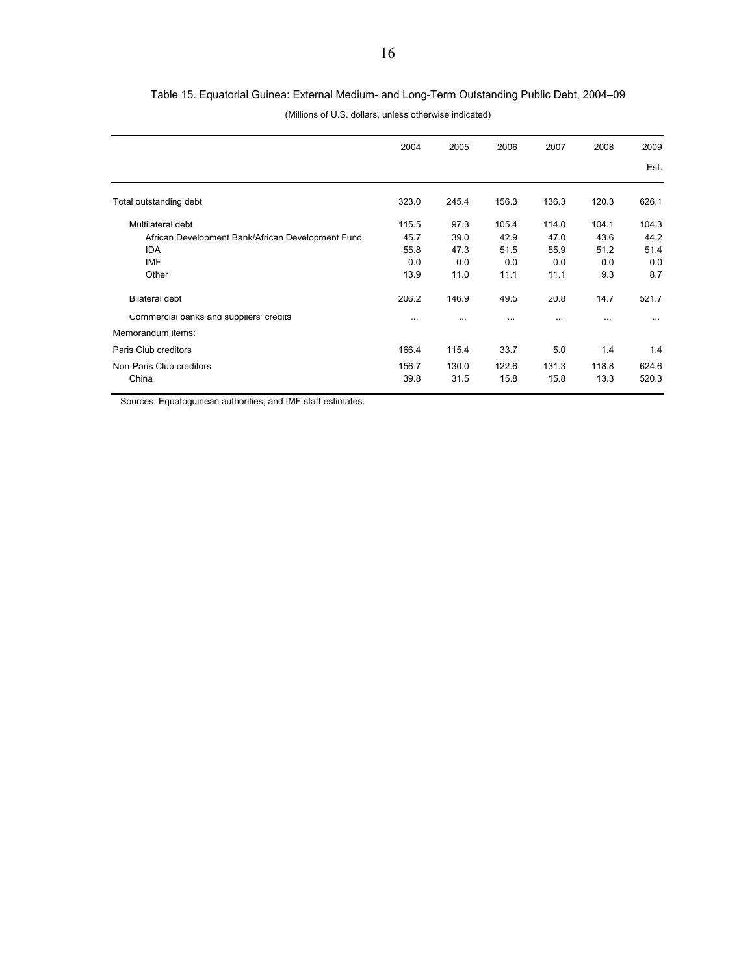|                                                   | 2004     | 2005      | 2006  | 2007      | 2008     | 2009     |
|---------------------------------------------------|----------|-----------|-------|-----------|----------|----------|
|                                                   |          |           |       |           |          | Est.     |
| Total outstanding debt                            | 323.0    | 245.4     | 156.3 | 136.3     | 120.3    | 626.1    |
| Multilateral debt                                 | 115.5    | 97.3      | 105.4 | 114.0     | 104.1    | 104.3    |
| African Development Bank/African Development Fund | 45.7     | 39.0      | 42.9  | 47.0      | 43.6     | 44.2     |
| <b>IDA</b>                                        | 55.8     | 47.3      | 51.5  | 55.9      | 51.2     | 51.4     |
| IMF                                               | 0.0      | 0.0       | 0.0   | 0.0       | 0.0      | 0.0      |
| Other                                             | 13.9     | 11.0      | 11.1  | 11.1      | 9.3      | 8.7      |
| <b>Bilateral debt</b>                             | 206.2    | 146.9     | 49.5  | 20.8      | 14.7     | 521.7    |
| Commercial banks and suppliers' credits           | $\cdots$ | $\ddotsc$ | .     | $\ddotsc$ | $\cdots$ | $\cdots$ |
| Memorandum items:                                 |          |           |       |           |          |          |
| Paris Club creditors                              | 166.4    | 115.4     | 33.7  | 5.0       | 1.4      | 1.4      |
| Non-Paris Club creditors                          | 156.7    | 130.0     | 122.6 | 131.3     | 118.8    | 624.6    |
| China                                             | 39.8     | 31.5      | 15.8  | 15.8      | 13.3     | 520.3    |

#### Table 15. Equatorial Guinea: External Medium- and Long-Term Outstanding Public Debt, 2004–09

(Millions of U.S. dollars, unless otherwise indicated)